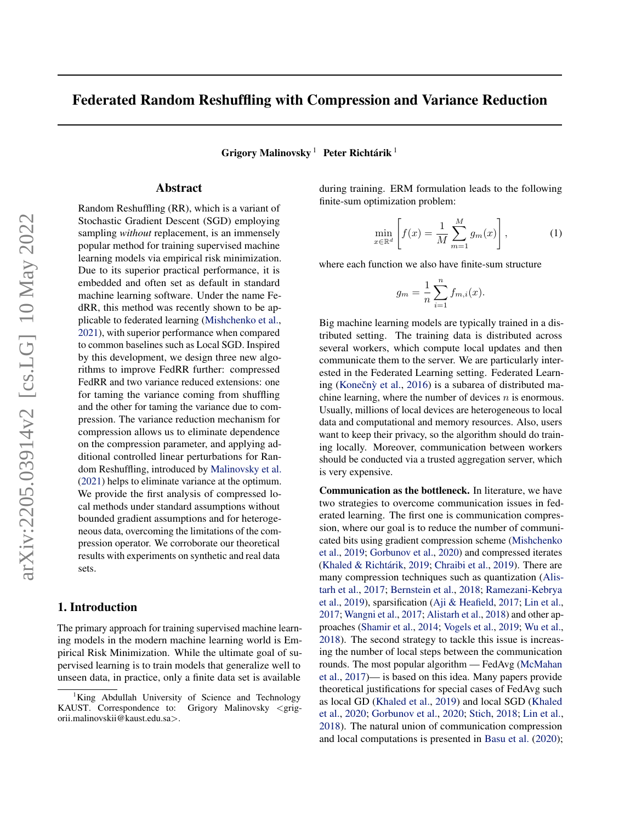# <span id="page-0-0"></span>Federated Random Reshuffling with Compression and Variance Reduction

Grigory Malinovsky  $^1$  Peter Richtárik  $^1$ 

#### Abstract

Random Reshuffling (RR), which is a variant of Stochastic Gradient Descent (SGD) employing sampling *without* replacement, is an immensely popular method for training supervised machine learning models via empirical risk minimization. Due to its superior practical performance, it is embedded and often set as default in standard machine learning software. Under the name FedRR, this method was recently shown to be applicable to federated learning [\(Mishchenko et al.,](#page-8-0) [2021\)](#page-8-0), with superior performance when compared to common baselines such as Local SGD. Inspired by this development, we design three new algorithms to improve FedRR further: compressed FedRR and two variance reduced extensions: one for taming the variance coming from shuffling and the other for taming the variance due to compression. The variance reduction mechanism for compression allows us to eliminate dependence on the compression parameter, and applying additional controlled linear perturbations for Random Reshuffling, introduced by [Malinovsky et al.](#page-7-0) [\(2021\)](#page-7-0) helps to eliminate variance at the optimum. We provide the first analysis of compressed local methods under standard assumptions without bounded gradient assumptions and for heterogeneous data, overcoming the limitations of the compression operator. We corroborate our theoretical results with experiments on synthetic and real data sets.

#### 1. Introduction

The primary approach for training supervised machine learning models in the modern machine learning world is Empirical Risk Minimization. While the ultimate goal of supervised learning is to train models that generalize well to unseen data, in practice, only a finite data set is available

during training. ERM formulation leads to the following finite-sum optimization problem:

$$
\min_{x \in \mathbb{R}^d} \left[ f(x) = \frac{1}{M} \sum_{m=1}^M g_m(x) \right],\tag{1}
$$

where each function we also have finite-sum structure

$$
g_m = \frac{1}{n} \sum_{i=1}^{n} f_{m,i}(x).
$$

Big machine learning models are typically trained in a distributed setting. The training data is distributed across several workers, which compute local updates and then communicate them to the server. We are particularly interested in the Federated Learning setting. Federated Learn-ing (Konečnỳ et al., [2016\)](#page-7-0) is a subarea of distributed machine learning, where the number of devices  $n$  is enormous. Usually, millions of local devices are heterogeneous to local data and computational and memory resources. Also, users want to keep their privacy, so the algorithm should do training locally. Moreover, communication between workers should be conducted via a trusted aggregation server, which is very expensive.

Communication as the bottleneck. In literature, we have two strategies to overcome communication issues in federated learning. The first one is communication compression, where our goal is to reduce the number of communicated bits using gradient compression scheme [\(Mishchenko](#page-8-0) [et al.,](#page-8-0) [2019;](#page-8-0) [Gorbunov et al.,](#page-7-0) [2020\)](#page-7-0) and compressed iterates (Khaled & Richtárik, [2019;](#page-7-0) [Chraibi et al.,](#page-7-0) [2019\)](#page-7-0). There are many compression techniques such as quantization [\(Alis](#page-6-0)[tarh et al.,](#page-6-0) [2017;](#page-6-0) [Bernstein et al.,](#page-7-0) [2018;](#page-7-0) [Ramezani-Kebrya](#page-8-0) [et al.,](#page-8-0) [2019\)](#page-8-0), sparsification [\(Aji & Heafield,](#page-6-0) [2017;](#page-6-0) [Lin et al.,](#page-7-0) [2017;](#page-7-0) [Wangni et al.,](#page-8-0) [2017;](#page-8-0) [Alistarh et al.,](#page-6-0) [2018\)](#page-6-0) and other approaches [\(Shamir et al.,](#page-8-0) [2014;](#page-8-0) [Vogels et al.,](#page-8-0) [2019;](#page-8-0) [Wu et al.,](#page-8-0) [2018\)](#page-8-0). The second strategy to tackle this issue is increasing the number of local steps between the communication rounds. The most popular algorithm — FedAvg [\(McMahan](#page-7-0) [et al.,](#page-7-0) [2017\)](#page-7-0)— is based on this idea. Many papers provide theoretical justifications for special cases of FedAvg such as local GD [\(Khaled et al.,](#page-7-0) [2019\)](#page-7-0) and local SGD [\(Khaled](#page-7-0) [et al.,](#page-7-0) [2020;](#page-7-0) [Gorbunov et al.,](#page-7-0) [2020;](#page-7-0) [Stich,](#page-8-0) [2018;](#page-8-0) [Lin et al.,](#page-7-0) [2018\)](#page-7-0). The natural union of communication compression and local computations is presented in [Basu et al.](#page-6-0) [\(2020\)](#page-6-0);

King Abdullah University of Science and Technology KAUST. Correspondence to: Grigory Malinovsky <grigorii.malinovskii@kaust.edu.sa>.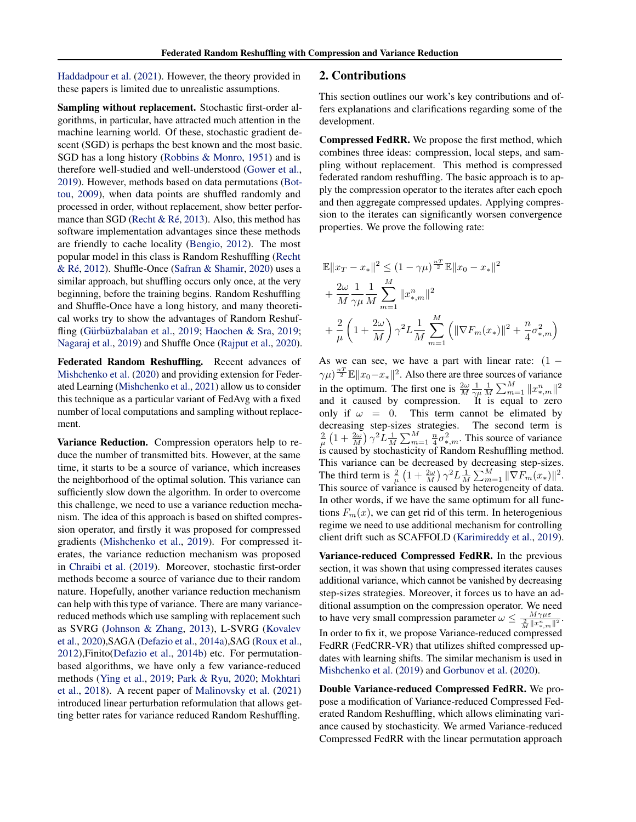[Haddadpour et al.](#page-7-0) [\(2021\)](#page-7-0). However, the theory provided in these papers is limited due to unrealistic assumptions.

Sampling without replacement. Stochastic first-order algorithms, in particular, have attracted much attention in the machine learning world. Of these, stochastic gradient descent (SGD) is perhaps the best known and the most basic. SGD has a long history [\(Robbins & Monro,](#page-8-0) [1951\)](#page-8-0) and is therefore well-studied and well-understood [\(Gower et al.,](#page-7-0) [2019\)](#page-7-0). However, methods based on data permutations [\(Bot](#page-7-0)[tou,](#page-7-0) [2009\)](#page-7-0), when data points are shuffled randomly and processed in order, without replacement, show better perfor-mance than SGD (Recht & Ré, [2013\)](#page-8-0). Also, this method has software implementation advantages since these methods are friendly to cache locality [\(Bengio,](#page-7-0) [2012\)](#page-7-0). The most popular model in this class is Random Reshuffling [\(Recht](#page-8-0) & Ré, [2012\)](#page-8-0). Shuffle-Once [\(Safran & Shamir,](#page-8-0) [2020\)](#page-8-0) uses a similar approach, but shuffling occurs only once, at the very beginning, before the training begins. Random Reshuffling and Shuffle-Once have a long history, and many theoretical works try to show the advantages of Random Reshuf-fling (Gürbüzbalaban et al., [2019;](#page-7-0) [Haochen & Sra,](#page-7-0) 2019; [Nagaraj et al.,](#page-8-0) [2019\)](#page-8-0) and Shuffle Once [\(Rajput et al.,](#page-8-0) [2020\)](#page-8-0).

Federated Random Reshuffling. Recent advances of [Mishchenko et al.](#page-8-0) [\(2020\)](#page-8-0) and providing extension for Federated Learning [\(Mishchenko et al.,](#page-8-0) [2021\)](#page-8-0) allow us to consider this technique as a particular variant of FedAvg with a fixed number of local computations and sampling without replacement.

Variance Reduction. Compression operators help to reduce the number of transmitted bits. However, at the same time, it starts to be a source of variance, which increases the neighborhood of the optimal solution. This variance can sufficiently slow down the algorithm. In order to overcome this challenge, we need to use a variance reduction mechanism. The idea of this approach is based on shifted compression operator, and firstly it was proposed for compressed gradients [\(Mishchenko et al.,](#page-8-0) [2019\)](#page-8-0). For compressed iterates, the variance reduction mechanism was proposed in [Chraibi et al.](#page-7-0) [\(2019\)](#page-7-0). Moreover, stochastic first-order methods become a source of variance due to their random nature. Hopefully, another variance reduction mechanism can help with this type of variance. There are many variancereduced methods which use sampling with replacement such as SVRG [\(Johnson & Zhang,](#page-7-0) [2013\)](#page-7-0), L-SVRG [\(Kovalev](#page-7-0) [et al.,](#page-7-0) [2020\)](#page-7-0),SAGA [\(Defazio et al.,](#page-7-0) [2014a\)](#page-7-0),SAG [\(Roux et al.,](#page-8-0) [2012\)](#page-8-0),Finito[\(Defazio et al.,](#page-7-0) [2014b\)](#page-7-0) etc. For permutationbased algorithms, we have only a few variance-reduced methods [\(Ying et al.,](#page-8-0) [2019;](#page-8-0) [Park & Ryu,](#page-8-0) [2020;](#page-8-0) [Mokhtari](#page-8-0) [et al.,](#page-8-0) [2018\)](#page-8-0). A recent paper of [Malinovsky et al.](#page-7-0) [\(2021\)](#page-7-0) introduced linear perturbation reformulation that allows getting better rates for variance reduced Random Reshuffling.

#### 2. Contributions

This section outlines our work's key contributions and offers explanations and clarifications regarding some of the development.

Compressed FedRR. We propose the first method, which combines three ideas: compression, local steps, and sampling without replacement. This method is compressed federated random reshuffling. The basic approach is to apply the compression operator to the iterates after each epoch and then aggregate compressed updates. Applying compression to the iterates can significantly worsen convergence properties. We prove the following rate:

$$
\mathbb{E}||x_T - x_*||^2 \le (1 - \gamma \mu)^{\frac{nT}{2}} \mathbb{E}||x_0 - x_*||^2
$$
  
+  $\frac{2\omega}{M} \frac{1}{\gamma \mu} \frac{1}{M} \sum_{m=1}^{M} ||x_{*,m}^n||^2$   
+  $\frac{2}{\mu} \left(1 + \frac{2\omega}{M}\right) \gamma^2 L \frac{1}{M} \sum_{m=1}^{M} \left( ||\nabla F_m(x_*)||^2 + \frac{n}{4} \sigma_{*,m}^2 \right)$ 

As we can see, we have a part with linear rate:  $(1 \gamma \mu$ <sup> $\frac{nT}{2} \mathbb{E} \|x_0 - x_*\|^2$ . Also there are three sources of variance</sup> in the optimum. The first one is  $\frac{2\omega}{M} \frac{1}{\gamma \mu} \frac{1}{M} \sum_{m=1}^{M} ||x_{*,m}^{n}||^2$ and it caused by compression. It is equal to zero only if  $\omega = 0$ . This term cannot be elimated by decreasing step-sizes strategies. The second term is  $\frac{2}{\mu} \left(1 + \frac{2\omega}{M}\right) \gamma^2 L \frac{1}{M} \sum_{m=1}^M \frac{n}{4} \sigma_{*,m}^2$ . This source of variance is caused by stochasticity of Random Reshuffling method. This variance can be decreased by decreasing step-sizes. The third term is  $\frac{2}{\mu} \left(1 + \frac{2\omega}{M}\right) \gamma^2 L \frac{1}{M} \sum_{m=1}^M \|\nabla F_m(x_*)\|^2$ . This source of variance is caused by heterogeneity of data. In other words, if we have the same optimum for all functions  $F_m(x)$ , we can get rid of this term. In heterogenious regime we need to use additional mechanism for controlling client drift such as SCAFFOLD [\(Karimireddy et al.,](#page-7-0) [2019\)](#page-7-0).

Variance-reduced Compressed FedRR. In the previous section, it was shown that using compressed iterates causes additional variance, which cannot be vanished by decreasing step-sizes strategies. Moreover, it forces us to have an additional assumption on the compression operator. We need to have very small compression parameter  $\omega \leq \frac{M\gamma\mu\epsilon}{\frac{2}{M}||x_{k,m}^n||^2}$ . In order to fix it, we propose Variance-reduced compressed FedRR (FedCRR-VR) that utilizes shifted compressed updates with learning shifts. The similar mechanism is used in [Mishchenko et al.](#page-8-0) [\(2019\)](#page-8-0) and [Gorbunov et al.](#page-7-0) [\(2020\)](#page-7-0).

Double Variance-reduced Compressed FedRR. We propose a modification of Variance-reduced Compressed Federated Random Reshuffling, which allows eliminating variance caused by stochasticity. We armed Variance-reduced Compressed FedRR with the linear permutation approach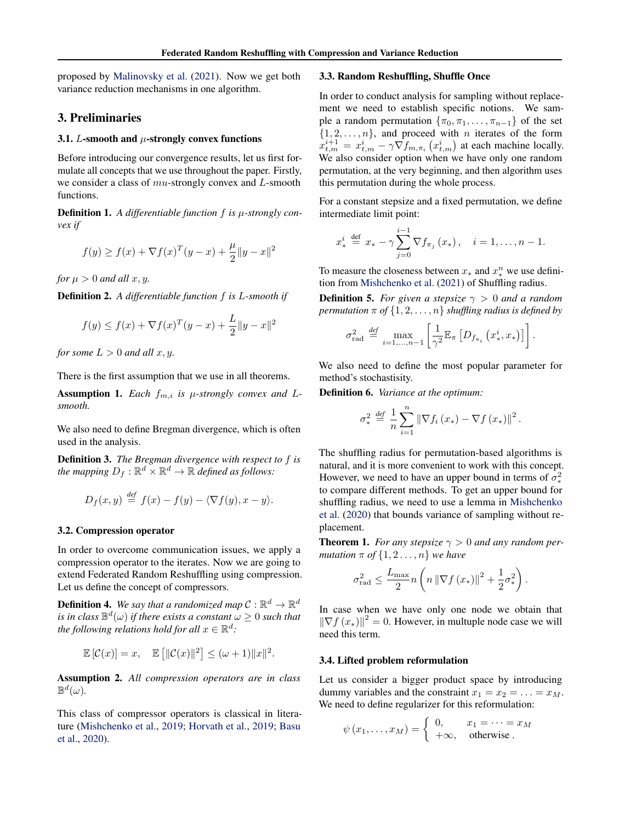<span id="page-2-0"></span>proposed by [Malinovsky et al.](#page-7-0) [\(2021\)](#page-7-0). Now we get both variance reduction mechanisms in one algorithm.

#### 3. Preliminaries

#### 3.1. L-smooth and  $\mu$ -strongly convex functions

Before introducing our convergence results, let us first formulate all concepts that we use throughout the paper. Firstly, we consider a class of  $mu$ -strongly convex and L-smooth functions.

Definition 1. *A differentiable function* f *is* µ*-strongly convex if*

$$
f(y) \ge f(x) + \nabla f(x)^{T} (y - x) + \frac{\mu}{2} \|y - x\|^{2}
$$

*for*  $\mu > 0$  *and all*  $x, y$ *.* 

Definition 2. *A differentiable function* f *is* L*-smooth if*

$$
f(y) \le f(x) + \nabla f(x)^{T} (y - x) + \frac{L}{2} \|y - x\|^{2}
$$

*for some*  $L > 0$  *and all*  $x, y$ *.* 

There is the first assumption that we use in all theorems.

Assumption 1. *Each*  $f_{m,i}$  *is*  $\mu$ *-strongly convex and*  $L$ *smooth.*

We also need to define Bregman divergence, which is often used in the analysis.

Definition 3. *The Bregman divergence with respect to* f *is* the mapping  $D_f : \mathbb{R}^d \times \mathbb{R}^d \to \mathbb{R}$  defined as follows:

$$
D_f(x,y) \stackrel{\text{def}}{=} f(x) - f(y) - \langle \nabla f(y), x - y \rangle.
$$

#### 3.2. Compression operator

In order to overcome communication issues, we apply a compression operator to the iterates. Now we are going to extend Federated Random Reshuffling using compression. Let us define the concept of compressors.

**Definition 4.** We say that a randomized map  $C : \mathbb{R}^d \to \mathbb{R}^d$ *is in class*  $\mathbb{B}^d(\omega)$  *if there exists a constant*  $\omega \geq 0$  *such that the following relations hold for all*  $x \in \mathbb{R}^d$ :

$$
\mathbb{E}[\mathcal{C}(x)] = x, \quad \mathbb{E}[\|\mathcal{C}(x)\|^2] \leq (\omega + 1)\|x\|^2.
$$

Assumption 2. *All compression operators are in class*  $\mathbb{B}^d(\omega)$ .

This class of compressor operators is classical in literature [\(Mishchenko et al.,](#page-8-0) [2019;](#page-8-0) [Horvath et al.,](#page-7-0) [2019;](#page-7-0) [Basu](#page-6-0) [et al.,](#page-6-0) [2020\)](#page-6-0).

#### 3.3. Random Reshuffling, Shuffle Once

In order to conduct analysis for sampling without replacement we need to establish specific notions. We sample a random permutation  $\{\pi_0, \pi_1, \ldots, \pi_{n-1}\}\$  of the set  $\{1, 2, \ldots, n\}$ , and proceed with *n* iterates of the form  $x_{t,m}^{i+1} = x_{t,m}^i - \gamma \nabla f_{m,\pi_i} (x_{t,m}^i)$  at each machine locally. We also consider option when we have only one random permutation, at the very beginning, and then algorithm uses this permutation during the whole process.

For a constant stepsize and a fixed permutation, we define intermediate limit point:

$$
x_*^i \stackrel{\text{def}}{=} x_* - \gamma \sum_{j=0}^{i-1} \nabla f_{\pi_j}(x_*) , \quad i = 1, \dots, n-1.
$$

To measure the closeness between  $x_*$  and  $x_*^n$  we use definition from [Mishchenko et al.](#page-8-0) [\(2021\)](#page-8-0) of Shuffling radius.

**Definition 5.** *For given a stepsize*  $\gamma > 0$  *and a random permutation*  $\pi$  *of*  $\{1, 2, \ldots, n\}$  *shuffling radius is defined by* 

$$
\sigma_{\text{rad}}^2 \stackrel{\text{def}}{=} \max_{i=1,\dots,n-1} \left[ \frac{1}{\gamma^2} \mathbb{E}_{\pi} \left[ D_{f_{\pi_i}} \left( x_*^i, x_* \right) \right] \right].
$$

We also need to define the most popular parameter for method's stochastisity.

Definition 6. *Variance at the optimum:*

$$
\sigma_*^2 \stackrel{\text{def}}{=} \frac{1}{n} \sum_{i=1}^n \left\| \nabla f_i \left( x_* \right) - \nabla f \left( x_* \right) \right\|^2.
$$

The shuffling radius for permutation-based algorithms is natural, and it is more convenient to work with this concept. However, we need to have an upper bound in terms of  $\sigma_*^2$ to compare different methods. To get an upper bound for shuffling radius, we need to use a lemma in [Mishchenko](#page-8-0) [et al.](#page-8-0) [\(2020\)](#page-8-0) that bounds variance of sampling without replacement.

**Theorem 1.** *For any stepsize*  $\gamma > 0$  *and any random permutation*  $\pi$  *of*  $\{1, 2 \ldots, n\}$  *we have* 

$$
\sigma_{\text{rad}}^2 \le \frac{L_{\text{max}}}{2} n \left( n \left\| \nabla f \left( x_* \right) \right\|^2 + \frac{1}{2} \sigma_*^2 \right)
$$

.

In case when we have only one node we obtain that  $\left\|\nabla f(x_*)\right\|^2 = 0$ . However, in multuple node case we will need this term.

#### 3.4. Lifted problem reformulation

Let us consider a bigger product space by introducing dummy variables and the constraint  $x_1 = x_2 = \ldots = x_M$ . We need to define regularizer for this reformulation:

$$
\psi(x_1,\ldots,x_M)=\begin{cases}\n0, & x_1=\cdots=x_M \\
+\infty, & \text{otherwise}\n\end{cases}
$$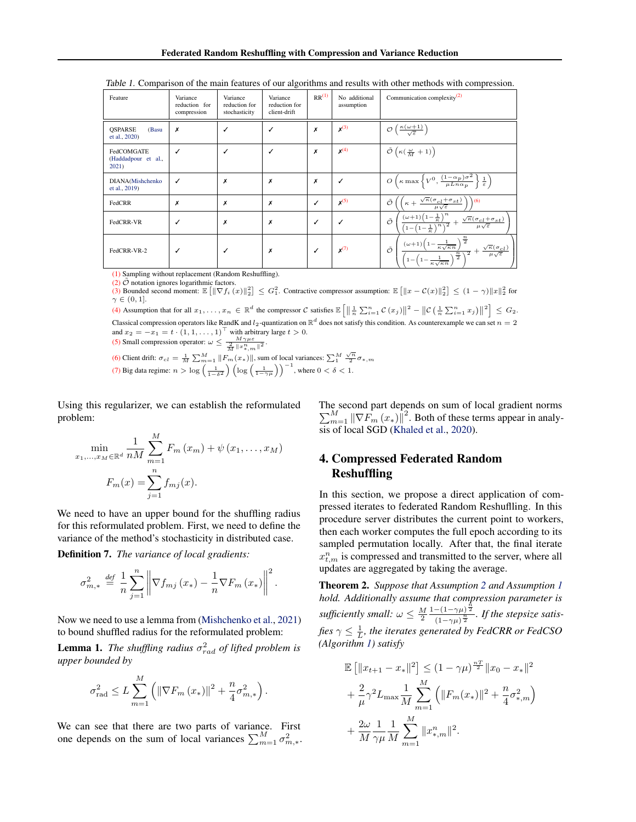| Feature                                    | Variance<br>reduction for<br>compression | Variance<br>reduction for<br>stochasticity | Variance<br>reduction for<br>client-drift | RR <sup>(1)</sup> | No additional<br>assumption | Communication complexity $(2)$                                                                                                                                                                                                    |
|--------------------------------------------|------------------------------------------|--------------------------------------------|-------------------------------------------|-------------------|-----------------------------|-----------------------------------------------------------------------------------------------------------------------------------------------------------------------------------------------------------------------------------|
| <b>OSPARSE</b><br>(Basu<br>et al., 2020)   | Х                                        | ✓                                          | $\checkmark$                              | x                 | $x^{(3)}$                   | $\mathcal{O}\left(\frac{\kappa(\omega+1)}{\sqrt{\varepsilon}}\right)$                                                                                                                                                             |
| FedCOMGATE<br>(Haddadpour et al.,<br>2021) |                                          | ✓                                          | $\checkmark$                              | x                 | $x^{(4)}$                   | $\tilde{\mathcal{O}}\left(\kappa(\frac{\omega}{M}+1)\right)$                                                                                                                                                                      |
| DIANA(Mishchenko<br>et al., 2019)          |                                          | X                                          | X                                         | x                 | ℐ                           | $O\left(\kappa \max\left\{V^0, \frac{(1-\alpha_p)\sigma^2}{\mu Ln \alpha_p}\right\} \frac{1}{\varepsilon}\right)$                                                                                                                 |
| FedCRR                                     | x                                        | X                                          | X                                         | ✓                 | $x^{(5)}$                   | $\kappa + \frac{\sqrt{\kappa}(\sigma_{cl} + \sigma_{st})}{\mu \sqrt{\varepsilon}}$<br>Õ<br>(6)                                                                                                                                    |
| FedCRR-VR                                  |                                          | X                                          | X                                         | √                 | ✓                           | $\frac{(\omega+1)\left(1-\frac{1}{\kappa}\right)^n}{\left(1-\left(1-\frac{1}{\kappa}\right)^n\right)^2}+\frac{\sqrt{\kappa}(\sigma_{cl}+\sigma_{st})}{\mu\sqrt{\varepsilon}}$<br>$\tilde{\mathcal{O}}$                            |
| FedCRR-VR-2                                |                                          | ✓                                          | Х                                         |                   | $X^{(7)}$                   | $\frac{(\omega+1)\left(1-\frac{1}{\kappa\sqrt{\kappa n}}\right)^{\tfrac{n}{2}}}{\left(1-\left(1-\frac{1}{\kappa\sqrt{\kappa n}}\right)^{\tfrac{n}{2}}\right)^2}+\frac{\sqrt{\kappa}(\sigma_{cl})}{\mu\sqrt{\varepsilon}}\ ,$<br>Õ |

<span id="page-3-0"></span>Table 1. Comparison of the main features of our algorithms and results with other methods with compression.

(1) Sampling without replacement (Random Reshuffling).

(2)  $\tilde{\mathcal{O}}$  notation ignores logarithmic factors.

(3) Bounded second moment:  $\mathbb{E} [||\nabla f_i(x)||_2^2] \leq G_1^2$ . Contractive compressor assumption:  $\mathbb{E} [||x - C(x)||_2^2] \leq (1 - \gamma) ||x||_2^2$  for  $\gamma \in (0,1]$ . (4) Assumption that for all  $x_1, \ldots, x_n \in \mathbb{R}^d$  the compressor C satisfies  $\mathbb{E}\left[\left\|\frac{1}{n}\sum_{i=1}^n\mathcal{C}(x_i)\right\|^2 - \left\|\mathcal{C}\left(\frac{1}{n}\sum_{i=1}^nx_i\right)\right\|^2\right] \leq G_2$ .

Classical compression operators like RandK and  $l_2$ -quantization on  $\mathbb{R}^d$  does not satisfy this condition. As counterexample we can set  $n=2$ and  $x_2 = -x_1 = t \cdot (1, 1, \dots, 1)^\top$  with arbitrary large  $t > 0$ .

(5) Small compression operator:  $\omega \leq \frac{M\gamma\mu\varepsilon}{\frac{2}{M}||x_{*,m}^{n}||^{2}}$ .

(6) Client drift:  $\sigma_{cl} = \frac{1}{M} \sum_{m=1}^{M} ||F_m(x_*)||$ , sum of local variances:  $\sum_{1}^{M} \frac{\sqrt{n}}{2} \sigma_{*,m}$ (7) Big data regime:  $n > \log \left( \frac{1}{1-\delta^2} \right) \left( \log \left( \frac{1}{1-\gamma \mu} \right) \right)^{-1}$ , where  $0 < \delta < 1$ .

Using this regularizer, we can establish the reformulated problem:

$$
\min_{x_1, ..., x_M \in \mathbb{R}^d} \frac{1}{nM} \sum_{m=1}^M F_m(x_m) + \psi(x_1, ..., x_M)
$$

$$
F_m(x) = \sum_{j=1}^n f_{mj}(x).
$$

We need to have an upper bound for the shuffling radius for this reformulated problem. First, we need to define the variance of the method's stochasticity in distributed case.

Definition 7. *The variance of local gradients:*

$$
\sigma_{m,*}^2 \stackrel{\text{def}}{=} \frac{1}{n} \sum_{j=1}^n \left\| \nabla f_{mj} \left( x_* \right) - \frac{1}{n} \nabla F_m \left( x_* \right) \right\|^2.
$$

Now we need to use a lemma from [\(Mishchenko et al.,](#page-8-0) [2021\)](#page-8-0) to bound shuffled radius for the reformulated problem:

**Lemma 1.** The shuffling radius  $\sigma_{rad}^2$  of lifted problem is *upper bounded by*

$$
\sigma_{\text{rad}}^2 \le L \sum_{m=1}^M \left( \left\| \nabla F_m \left( x_* \right) \right\|^2 + \frac{n}{4} \sigma_{m,*}^2 \right).
$$

We can see that there are two parts of variance. First one depends on the sum of local variances  $\sum_{m=1}^{M} \sigma_{m,*}^2$ .

The second part depends on sum of local gradient norms  $\sum_{m=1}^{M} \|\nabla F_m(x_*)\|^2$ . Both of these terms appear in analysis of local SGD [\(Khaled et al.,](#page-7-0) [2020\)](#page-7-0).

# 4. Compressed Federated Random **Reshuffling**

In this section, we propose a direct application of compressed iterates to federated Random Reshuflling. In this procedure server distributes the current point to workers, then each worker computes the full epoch according to its sampled permutation locally. After that, the final iterate  $x_{t,m}^n$  is compressed and transmitted to the server, where all updates are aggregated by taking the average.

Theorem 2. *Suppose that Assumption [2](#page-2-0) and Assumption [1](#page-2-0) hold. Additionally assume that compression parameter is sufficiently small:*  $\omega \leq \frac{M}{2}$  $1-(1-\gamma\mu)^{\frac{\hat{n}}{2}}$  $\frac{-(1-\gamma\mu)^{\frac{n}{2}}}{(1-\gamma\mu)^{\frac{n}{2}}}$ . If the stepsize satisfies  $\gamma \leq \frac{1}{L}$ , the iterates generated by FedCRR or FedCSO *(Algorithm [1\)](#page-4-0) satisfy*

$$
\mathbb{E} [||x_{t+1} - x_*||^2] \le (1 - \gamma \mu)^{\frac{nT}{2}} ||x_0 - x_*||^2
$$
  
+  $\frac{2}{\mu} \gamma^2 L_{\text{max}} \frac{1}{M} \sum_{m=1}^M (||F_m(x_*)||^2 + \frac{n}{4} \sigma_{*,m}^2)$   
+  $\frac{2\omega}{M} \frac{1}{\gamma \mu} \frac{1}{M} \sum_{m=1}^M ||x_{*,m}^n||^2.$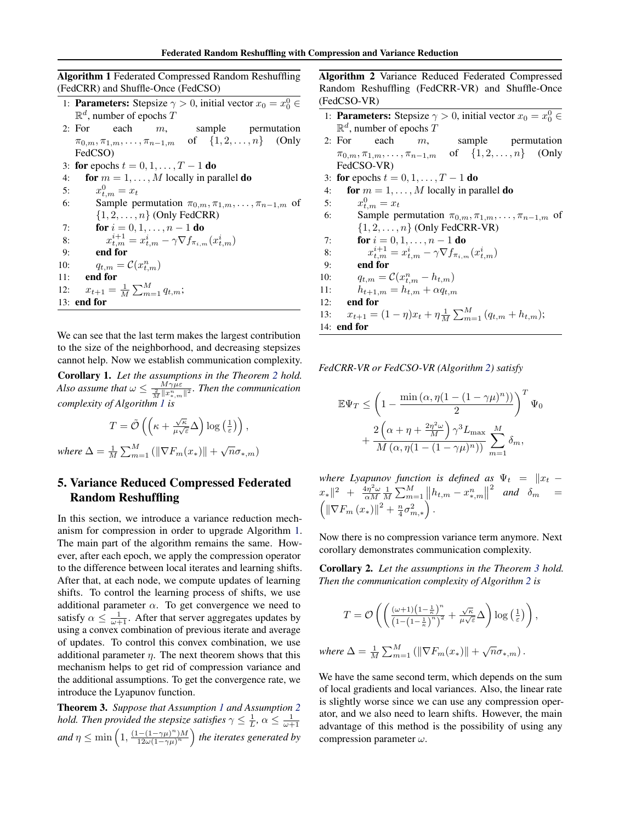Federated Random Reshuffling with Compression and Variance Reduction

<span id="page-4-0"></span>Algorithm 1 Federated Compressed Random Reshuffling (FedCRR) and Shuffle-Once (FedCSO) 1: **Parameters:** Stepsize  $\gamma > 0$ , initial vector  $x_0 = x_0^0 \in$  $\mathbb{R}^d$ , number of epochs T 2: For each  $m$ , sample permutation  $\pi_{0,m}, \pi_{1,m}, \ldots, \pi_{n-1,m}$  of  $\{1, 2, \ldots, n\}$  (Only FedCSO) 3: for epochs  $t = 0, 1, \ldots, T - 1$  do 4: for  $m = 1, \ldots, M$  locally in parallel **do** 5:  $x_{t,m}^0 = x_t$ 6: Sample permutation  $\pi_{0,m}, \pi_{1,m}, \ldots, \pi_{n-1,m}$  of  $\{1, 2, \ldots, n\}$  (Only FedCRR) 7: **for**  $i = 0, 1, ..., n - 1$  **do** 8:  $x_{t,m}^{i+1} = x_{t,m}^i - \gamma \nabla f_{\pi_{i,m}}(x_{t,m}^i)$ 9: end for 10:  $q_{t,m} = \mathcal{C}(x_{t,m}^n)$ 11: end for 12:  $x_{t+1} = \frac{1}{M} \sum_{m=1}^{M} q_{t,m};$ 13: end for

We can see that the last term makes the largest contribution to the size of the neighborhood, and decreasing stepsizes cannot help. Now we establish communication complexity.

Corollary 1. *Let the assumptions in the Theorem [2](#page-3-0) hold. Also assume that*  $\omega \leq \frac{M\gamma\mu\varepsilon}{\frac{2}{M}\|x_{*,m}^n\|^2}$ *. Then the communication complexity of Algorithm 1 is*

 $T = \tilde{\mathcal{O}}\left(\left(\kappa + \frac{\sqrt{\kappa}}{\mu}\right)\right)$  $\frac{\sqrt{\kappa}}{\mu\sqrt{\varepsilon}}\Delta\Big)\log\left(\frac{1}{\varepsilon}\right)\Big),$ *where*  $\Delta = \frac{1}{M} \sum_{m=1}^{M} (||\nabla F_m(x_*)|| + \sqrt{n} \sigma_{*,m})$ 

# 5. Variance Reduced Compressed Federated Random Reshuffling

In this section, we introduce a variance reduction mechanism for compression in order to upgrade Algorithm 1. The main part of the algorithm remains the same. However, after each epoch, we apply the compression operator to the difference between local iterates and learning shifts. After that, at each node, we compute updates of learning shifts. To control the learning process of shifts, we use additional parameter  $\alpha$ . To get convergence we need to satisfy  $\alpha \leq \frac{1}{\omega+1}$ . After that server aggregates updates by using a convex combination of previous iterate and average of updates. To control this convex combination, we use additional parameter  $\eta$ . The next theorem shows that this mechanism helps to get rid of compression variance and the additional assumptions. To get the convergence rate, we introduce the Lyapunov function.

Theorem 3. *Suppose that Assumption [1](#page-2-0) and Assumption [2](#page-2-0) hold. Then provided the stepsize satisfies*  $\gamma \leq \frac{1}{L}$ ,  $\alpha \leq \frac{1}{\omega+1}$ *and*  $\eta \le \min\left(1, \frac{(1-(1-\gamma\mu)^n)M}{12\omega(1-\gamma\mu)^n}\right)$ 12ω(1−γµ) n *the iterates generated by* Algorithm 2 Variance Reduced Federated Compressed Random Reshuffling (FedCRR-VR) and Shuffle-Once (FedCSO-VR)

- 1: **Parameters:** Stepsize  $\gamma > 0$ , initial vector  $x_0 = x_0^0 \in$  $\mathbb{R}^d$ , number of epochs T
- 2: For each  $m$ , sample permutation  $\pi_{0,m}, \pi_{1,m}, \ldots, \pi_{n-1,m}$  of  $\{1, 2, \ldots, n\}$  (Only FedCSO-VR)
- 3: for epochs  $t = 0, 1, \ldots, T 1$  do
- 4: for  $m = 1, \ldots, M$  locally in parallel do
- 5:  $x_{t,m}^0 = x_t$ 6: Sample permutation  $\pi_{0,m}, \pi_{1,m}, \ldots, \pi_{n-1,m}$  of  $\{1, 2, \ldots, n\}$  (Only FedCRR-VR) 7: **for**  $i = 0, 1, ..., n - 1$  **do** 8:  $x_{t,m}^{i+1} = x_{t,m}^i - \gamma \nabla f_{\pi_{i,m}}(x_{t,m}^i)$ 9: end for
- 10:  $q_{t,m} = C(x_{t,m}^n h_{t,m})$
- 11:  $h_{t+1,m} = h_{t,m} + \alpha q_{t,m}$
- 12: end for
- 13:  $x_{t+1} = (1 \eta)x_t + \eta \frac{1}{M} \sum_{m=1}^{M} (q_{t,m} + h_{t,m});$ 14: end for

*FedCRR-VR or FedCSO-VR (Algorithm 2) satisfy*

$$
\mathbb{E}\Psi_T \le \left(1 - \frac{\min\left(\alpha, \eta(1 - (1 - \gamma\mu)^n)\right)}{2}\right)^T \Psi_0
$$

$$
+ \frac{2\left(\alpha + \eta + \frac{2\eta^2\omega}{M}\right)\gamma^3 L_{\max}}{M\left(\alpha, \eta(1 - (1 - \gamma\mu)^n)\right)} \sum_{m=1}^M \delta_m,
$$

*where Lyapunov function is defined as*  $\Psi_t = \|x_t - x\|$  $\|x_{*}\|^{2} + \frac{4\eta^{2}\omega}{\alpha M} \frac{1}{M} \sum_{m=1}^{M} \|h_{t,m} - x_{*,m}^{n}\|$ <sup>2</sup> and  $\delta_m$  =  $\left( \left\| \nabla F_{m} \left( x_{*} \right) \right\|^{2} + \frac{n}{4} \sigma_{m,*}^{2} \right).$ 

Now there is no compression variance term anymore. Next corollary demonstrates communication complexity.

Corollary 2. *Let the assumptions in the Theorem 3 hold. Then the communication complexity of Algorithm 2 is*

$$
T = \mathcal{O}\left( \left( \frac{(\omega+1)\left(1-\frac{1}{\kappa}\right)^n}{\left(1-\left(1-\frac{1}{\kappa}\right)^n\right)^2} + \frac{\sqrt{\kappa}}{\mu\sqrt{\varepsilon}} \Delta \right) \log\left(\frac{1}{\varepsilon}\right) \right),\,
$$

where 
$$
\Delta = \frac{1}{M} \sum_{m=1}^{M} (||\nabla F_m(x_*)|| + \sqrt{n} \sigma_{*,m}).
$$

We have the same second term, which depends on the sum of local gradients and local variances. Also, the linear rate is slightly worse since we can use any compression operator, and we also need to learn shifts. However, the main advantage of this method is the possibility of using any compression parameter  $\omega$ .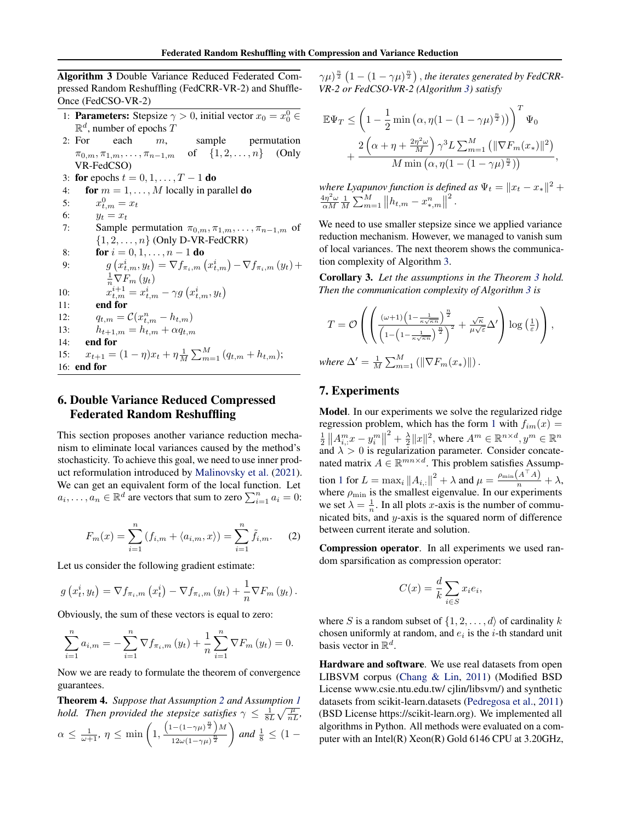<span id="page-5-0"></span>Algorithm 3 Double Variance Reduced Federated Compressed Random Reshuffling (FedCRR-VR-2) and Shuffle-Once (FedCSO-VR-2)

- 1: **Parameters:** Stepsize  $\gamma > 0$ , initial vector  $x_0 = x_0^0 \in$  $\mathbb{R}^d$ , number of epochs T
- 2: For each  $m$ , sample permutation  $\pi_{0,m}, \pi_{1,m}, \ldots, \pi_{n-1,m}$  of  $\{1, 2, \ldots, n\}$  (Only VR-FedCSO)
- 3: for epochs  $t = 0, 1, \ldots, T 1$  do

4: **for** 
$$
m = 1, ..., M
$$
 locally in parallel **do**

- 5:  $x_{t,m}^0 = x_t$
- 6:  $y_t = x_t$
- 7: Sample permutation  $\pi_{0,m}, \pi_{1,m}, \ldots, \pi_{n-1,m}$  of  $\{1, 2, \ldots, n\}$  (Only D-VR-FedCRR)

8: **for** 
$$
i = 0, 1, ..., n - 1
$$
 **do**  
\n9:  $g(x_{t,m}^i, y_t) = \nabla f_{\pi_i, m}(x_{t,m}^i) - \nabla f_{\pi_i, m}(y_t) + \frac{1}{n} \nabla F_m(y_t)$   
\n10:  $x_{t,m}^{i+1} = x_{t,m}^i - \gamma g(x_{t,m}^i, y_t)$   
\n11: **end for**  
\n12:  $q_{t,m} = \mathcal{C}(x_{t,m}^n - h_{t,m})$   
\n13:  $h_{t+1,m} = h_{t,m} + \alpha q_{t,m}$   
\n14: **end for**  
\n15:  $x_{t+1} = (1 - \eta)x_t + \eta \frac{1}{M} \sum_{m=1}^M (q_{t,m} + h_{t,m});$   
\n16: **end for**

# 6. Double Variance Reduced Compressed Federated Random Reshuffling

This section proposes another variance reduction mechanism to eliminate local variances caused by the method's stochasticity. To achieve this goal, we need to use inner product reformulation introduced by [Malinovsky et al.](#page-7-0) [\(2021\)](#page-7-0). We can get an equivalent form of the local function. Let  $a_i, \ldots, a_n \in \mathbb{R}^d$  are vectors that sum to zero  $\sum_{i=1}^n a_i = 0$ :

$$
F_m(x) = \sum_{i=1}^n (f_{i,m} + \langle a_{i,m}, x \rangle) = \sum_{i=1}^n \tilde{f}_{i,m}.
$$
 (2)

Let us consider the following gradient estimate:

$$
g(x_t^i, y_t) = \nabla f_{\pi_i, m}(x_t^i) - \nabla f_{\pi_i, m}(y_t) + \frac{1}{n} \nabla F_m(y_t).
$$

Obviously, the sum of these vectors is equal to zero:

$$
\sum_{i=1}^{n} a_{i,m} = -\sum_{i=1}^{n} \nabla f_{\pi_i,m} (y_t) + \frac{1}{n} \sum_{i=1}^{n} \nabla F_m (y_t) = 0.
$$

Now we are ready to formulate the theorem of convergence guarantees.

Theorem 4. *Suppose that Assumption [2](#page-2-0) and Assumption [1](#page-2-0) hold. Then provided the stepsize satisfies*  $\gamma \leq \frac{1}{8L} \sqrt{\frac{\mu}{nL}}$ ,  $\alpha \leq \frac{1}{\omega+1}, \eta \leq \min\left(1, \right)$  $\left(1-(1-\gamma\mu)^{\frac{n}{2}}\right)M$  $\frac{12\omega(1-\gamma\mu)^{\frac{n}{2}}}{}$  $\Big)$  and  $\frac{1}{8} \leq (1 -$ 

 $(\gamma\mu)^{\frac{n}{2}}\left(1-(1-\gamma\mu)^{\frac{n}{2}}\right),$  the iterates generated by FedCRR-*VR-2 or FedCSO-VR-2 (Algorithm 3) satisfy*

$$
\mathbb{E}\Psi_T \leq \left(1 - \frac{1}{2}\min\left(\alpha, \eta(1 - (1 - \gamma\mu)^{\frac{n}{2}})\right)\right)^T \Psi_0
$$

$$
+ \frac{2\left(\alpha + \eta + \frac{2\eta^2\omega}{M}\right)\gamma^3 L \sum_{m=1}^M \left(\|\nabla F_m(x_*)\|^2\right)}{M \min\left(\alpha, \eta(1 - (1 - \gamma\mu)^{\frac{n}{2}})\right)},
$$

*where Lyapunov function is defined as*  $\Psi_t = \|x_t - x_*\|^2 + \epsilon$  $\frac{4\eta^2\omega}{\alpha M} \frac{1}{M} \sum_{m=1}^{M} ||h_{t,m} - x_{*,m}^n||$ 2 .

We need to use smaller stepsize since we applied variance reduction mechanism. However, we managed to vanish sum of local variances. The next theorem shows the communication complexity of Algorithm 3.

Corollary 3. *Let the assumptions in the Theorem [3](#page-4-0) hold. Then the communication complexity of Algorithm 3 is*

$$
T = \mathcal{O}\left(\left(\frac{(\omega+1)\left(1-\frac{1}{\kappa\sqrt{\kappa n}}\right)^{\frac{n}{2}}}{\left(1-\left(1-\frac{1}{\kappa\sqrt{\kappa n}}\right)^{\frac{n}{2}}\right)^2} + \frac{\sqrt{\kappa}}{\mu\sqrt{\varepsilon}}\Delta'\right)\log\left(\frac{1}{\varepsilon}\right)\right),\,
$$

where  $\Delta' = \frac{1}{M} \sum_{m=1}^{M} (||\nabla F_m(x_*)||)$ .

#### 7. Experiments

Model. In our experiments we solve the regularized ridge regression problem, which has the form [1](#page-0-0) with  $f_{im}(x) =$  $\frac{1}{2}$   $\left\| A_i^m x - y_i^m \right\|$  $2^2 + \frac{\lambda}{2} ||x||^2$ , where  $A^m \in \mathbb{R}^{n \times d}$ ,  $y^m \in \mathbb{R}^n$ and  $\lambda > 0$  is regularization parameter. Consider concatenated matrix  $A \in \mathbb{R}^{mn \times d}$ . This problem satisfies Assump-tion [1](#page-2-0) for  $L = \max_i ||A_{i,:}||^2 + \lambda$  and  $\mu = \frac{\rho_{\min}(A^\top A)}{n} + \lambda$ , where  $\rho_{\min}$  is the smallest eigenvalue. In our experiments we set  $\lambda = \frac{1}{n}$ . In all plots *x*-axis is the number of communicated bits, and y-axis is the squared norm of difference between current iterate and solution.

Compression operator. In all experiments we used random sparsification as compression operator:

$$
C(x) = \frac{d}{k} \sum_{i \in S} x_i e_i,
$$

where S is a random subset of  $\{1, 2, \ldots, d\}$  of cardinality k chosen uniformly at random, and  $e_i$  is the *i*-th standard unit basis vector in  $\mathbb{R}^d$ .

Hardware and software. We use real datasets from open LIBSVM corpus [\(Chang & Lin,](#page-7-0) [2011\)](#page-7-0) (Modified BSD License www.csie.ntu.edu.tw/ cjlin/libsvm/) and synthetic datasets from scikit-learn.datasets [\(Pedregosa et al.,](#page-8-0) [2011\)](#page-8-0) (BSD License https://scikit-learn.org). We implemented all algorithms in Python. All methods were evaluated on a computer with an Intel(R) Xeon(R) Gold 6146 CPU at 3.20GHz,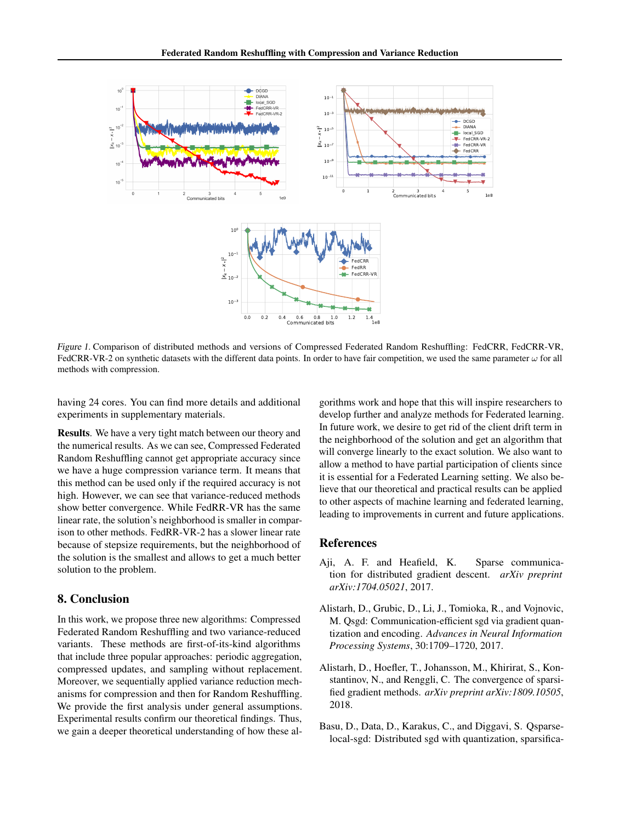<span id="page-6-0"></span>

Figure 1. Comparison of distributed methods and versions of Compressed Federated Random Reshuffling: FedCRR, FedCRR-VR, FedCRR-VR-2 on synthetic datasets with the different data points. In order to have fair competition, we used the same parameter  $\omega$  for all methods with compression.

having 24 cores. You can find more details and additional experiments in supplementary materials.

Results. We have a very tight match between our theory and the numerical results. As we can see, Compressed Federated Random Reshuffling cannot get appropriate accuracy since we have a huge compression variance term. It means that this method can be used only if the required accuracy is not high. However, we can see that variance-reduced methods show better convergence. While FedRR-VR has the same linear rate, the solution's neighborhood is smaller in comparison to other methods. FedRR-VR-2 has a slower linear rate because of stepsize requirements, but the neighborhood of the solution is the smallest and allows to get a much better solution to the problem.

# 8. Conclusion

In this work, we propose three new algorithms: Compressed Federated Random Reshuffling and two variance-reduced variants. These methods are first-of-its-kind algorithms that include three popular approaches: periodic aggregation, compressed updates, and sampling without replacement. Moreover, we sequentially applied variance reduction mechanisms for compression and then for Random Reshuffling. We provide the first analysis under general assumptions. Experimental results confirm our theoretical findings. Thus, we gain a deeper theoretical understanding of how these algorithms work and hope that this will inspire researchers to develop further and analyze methods for Federated learning. In future work, we desire to get rid of the client drift term in the neighborhood of the solution and get an algorithm that will converge linearly to the exact solution. We also want to allow a method to have partial participation of clients since it is essential for a Federated Learning setting. We also believe that our theoretical and practical results can be applied to other aspects of machine learning and federated learning, leading to improvements in current and future applications.

#### References

- Aji, A. F. and Heafield, K. Sparse communication for distributed gradient descent. *arXiv preprint arXiv:1704.05021*, 2017.
- Alistarh, D., Grubic, D., Li, J., Tomioka, R., and Vojnovic, M. Qsgd: Communication-efficient sgd via gradient quantization and encoding. *Advances in Neural Information Processing Systems*, 30:1709–1720, 2017.
- Alistarh, D., Hoefler, T., Johansson, M., Khirirat, S., Konstantinov, N., and Renggli, C. The convergence of sparsified gradient methods. *arXiv preprint arXiv:1809.10505*, 2018.
- Basu, D., Data, D., Karakus, C., and Diggavi, S. Qsparselocal-sgd: Distributed sgd with quantization, sparsifica-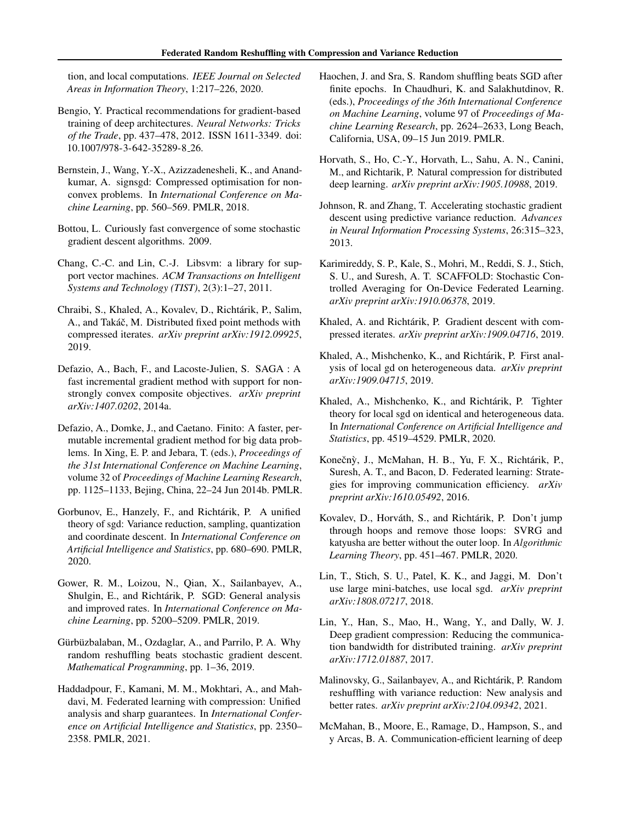<span id="page-7-0"></span>tion, and local computations. *IEEE Journal on Selected Areas in Information Theory*, 1:217–226, 2020.

- Bengio, Y. Practical recommendations for gradient-based training of deep architectures. *Neural Networks: Tricks of the Trade*, pp. 437–478, 2012. ISSN 1611-3349. doi: 10.1007/978-3-642-35289-8 26.
- Bernstein, J., Wang, Y.-X., Azizzadenesheli, K., and Anandkumar, A. signsgd: Compressed optimisation for nonconvex problems. In *International Conference on Machine Learning*, pp. 560–569. PMLR, 2018.
- Bottou, L. Curiously fast convergence of some stochastic gradient descent algorithms. 2009.
- Chang, C.-C. and Lin, C.-J. Libsvm: a library for support vector machines. *ACM Transactions on Intelligent Systems and Technology (TIST)*, 2(3):1–27, 2011.
- Chraibi, S., Khaled, A., Kovalev, D., Richtarik, P., Salim, ´ A., and Takáč, M. Distributed fixed point methods with compressed iterates. *arXiv preprint arXiv:1912.09925*, 2019.
- Defazio, A., Bach, F., and Lacoste-Julien, S. SAGA : A fast incremental gradient method with support for nonstrongly convex composite objectives. *arXiv preprint arXiv:1407.0202*, 2014a.
- Defazio, A., Domke, J., and Caetano. Finito: A faster, permutable incremental gradient method for big data problems. In Xing, E. P. and Jebara, T. (eds.), *Proceedings of the 31st International Conference on Machine Learning*, volume 32 of *Proceedings of Machine Learning Research*, pp. 1125–1133, Bejing, China, 22–24 Jun 2014b. PMLR.
- Gorbunov, E., Hanzely, F., and Richtárik, P. A unified theory of sgd: Variance reduction, sampling, quantization and coordinate descent. In *International Conference on Artificial Intelligence and Statistics*, pp. 680–690. PMLR, 2020.
- Gower, R. M., Loizou, N., Qian, X., Sailanbayev, A., Shulgin, E., and Richtárik, P. SGD: General analysis and improved rates. In *International Conference on Machine Learning*, pp. 5200–5209. PMLR, 2019.
- Gürbüzbalaban, M., Ozdaglar, A., and Parrilo, P. A. Why random reshuffling beats stochastic gradient descent. *Mathematical Programming*, pp. 1–36, 2019.
- Haddadpour, F., Kamani, M. M., Mokhtari, A., and Mahdavi, M. Federated learning with compression: Unified analysis and sharp guarantees. In *International Conference on Artificial Intelligence and Statistics*, pp. 2350– 2358. PMLR, 2021.
- Haochen, J. and Sra, S. Random shuffling beats SGD after finite epochs. In Chaudhuri, K. and Salakhutdinov, R. (eds.), *Proceedings of the 36th International Conference on Machine Learning*, volume 97 of *Proceedings of Machine Learning Research*, pp. 2624–2633, Long Beach, California, USA, 09–15 Jun 2019. PMLR.
- Horvath, S., Ho, C.-Y., Horvath, L., Sahu, A. N., Canini, M., and Richtarik, P. Natural compression for distributed deep learning. *arXiv preprint arXiv:1905.10988*, 2019.
- Johnson, R. and Zhang, T. Accelerating stochastic gradient descent using predictive variance reduction. *Advances in Neural Information Processing Systems*, 26:315–323, 2013.
- Karimireddy, S. P., Kale, S., Mohri, M., Reddi, S. J., Stich, S. U., and Suresh, A. T. SCAFFOLD: Stochastic Controlled Averaging for On-Device Federated Learning. *arXiv preprint arXiv:1910.06378*, 2019.
- Khaled, A. and Richtárik, P. Gradient descent with compressed iterates. *arXiv preprint arXiv:1909.04716*, 2019.
- Khaled, A., Mishchenko, K., and Richtárik, P. First analysis of local gd on heterogeneous data. *arXiv preprint arXiv:1909.04715*, 2019.
- Khaled, A., Mishchenko, K., and Richtárik, P. Tighter theory for local sgd on identical and heterogeneous data. In *International Conference on Artificial Intelligence and Statistics*, pp. 4519–4529. PMLR, 2020.
- Konečný, J., McMahan, H. B., Yu, F. X., Richtárik, P., Suresh, A. T., and Bacon, D. Federated learning: Strategies for improving communication efficiency. *arXiv preprint arXiv:1610.05492*, 2016.
- Kovalev, D., Horváth, S., and Richtárik, P. Don't jump through hoops and remove those loops: SVRG and katyusha are better without the outer loop. In *Algorithmic Learning Theory*, pp. 451–467. PMLR, 2020.
- Lin, T., Stich, S. U., Patel, K. K., and Jaggi, M. Don't use large mini-batches, use local sgd. *arXiv preprint arXiv:1808.07217*, 2018.
- Lin, Y., Han, S., Mao, H., Wang, Y., and Dally, W. J. Deep gradient compression: Reducing the communication bandwidth for distributed training. *arXiv preprint arXiv:1712.01887*, 2017.
- Malinovsky, G., Sailanbayev, A., and Richtárik, P. Random reshuffling with variance reduction: New analysis and better rates. *arXiv preprint arXiv:2104.09342*, 2021.
- McMahan, B., Moore, E., Ramage, D., Hampson, S., and y Arcas, B. A. Communication-efficient learning of deep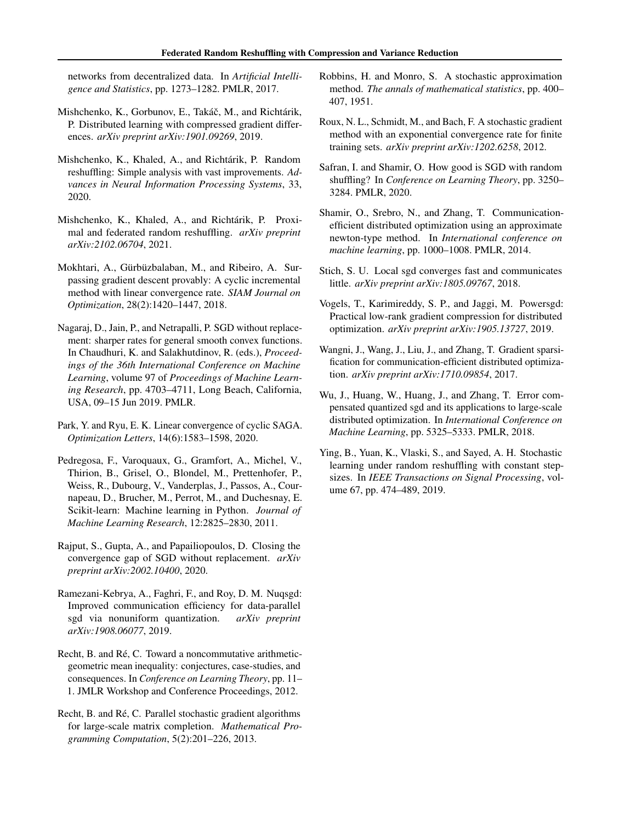<span id="page-8-0"></span>networks from decentralized data. In *Artificial Intelligence and Statistics*, pp. 1273–1282. PMLR, 2017.

- Mishchenko, K., Gorbunov, E., Takáč, M., and Richtárik, P. Distributed learning with compressed gradient differences. *arXiv preprint arXiv:1901.09269*, 2019.
- Mishchenko, K., Khaled, A., and Richtárik, P. Random reshuffling: Simple analysis with vast improvements. *Advances in Neural Information Processing Systems*, 33, 2020.
- Mishchenko, K., Khaled, A., and Richtárik, P. Proximal and federated random reshuffling. *arXiv preprint arXiv:2102.06704*, 2021.
- Mokhtari, A., Gürbüzbalaban, M., and Ribeiro, A. Surpassing gradient descent provably: A cyclic incremental method with linear convergence rate. *SIAM Journal on Optimization*, 28(2):1420–1447, 2018.
- Nagaraj, D., Jain, P., and Netrapalli, P. SGD without replacement: sharper rates for general smooth convex functions. In Chaudhuri, K. and Salakhutdinov, R. (eds.), *Proceedings of the 36th International Conference on Machine Learning*, volume 97 of *Proceedings of Machine Learning Research*, pp. 4703–4711, Long Beach, California, USA, 09–15 Jun 2019. PMLR.
- Park, Y. and Ryu, E. K. Linear convergence of cyclic SAGA. *Optimization Letters*, 14(6):1583–1598, 2020.
- Pedregosa, F., Varoquaux, G., Gramfort, A., Michel, V., Thirion, B., Grisel, O., Blondel, M., Prettenhofer, P., Weiss, R., Dubourg, V., Vanderplas, J., Passos, A., Cournapeau, D., Brucher, M., Perrot, M., and Duchesnay, E. Scikit-learn: Machine learning in Python. *Journal of Machine Learning Research*, 12:2825–2830, 2011.
- Rajput, S., Gupta, A., and Papailiopoulos, D. Closing the convergence gap of SGD without replacement. *arXiv preprint arXiv:2002.10400*, 2020.
- Ramezani-Kebrya, A., Faghri, F., and Roy, D. M. Nuqsgd: Improved communication efficiency for data-parallel sgd via nonuniform quantization. *arXiv preprint arXiv:1908.06077*, 2019.
- Recht, B. and Ré, C. Toward a noncommutative arithmeticgeometric mean inequality: conjectures, case-studies, and consequences. In *Conference on Learning Theory*, pp. 11– 1. JMLR Workshop and Conference Proceedings, 2012.
- Recht, B. and Ré, C. Parallel stochastic gradient algorithms for large-scale matrix completion. *Mathematical Programming Computation*, 5(2):201–226, 2013.
- Robbins, H. and Monro, S. A stochastic approximation method. *The annals of mathematical statistics*, pp. 400– 407, 1951.
- Roux, N. L., Schmidt, M., and Bach, F. A stochastic gradient method with an exponential convergence rate for finite training sets. *arXiv preprint arXiv:1202.6258*, 2012.
- Safran, I. and Shamir, O. How good is SGD with random shuffling? In *Conference on Learning Theory*, pp. 3250– 3284. PMLR, 2020.
- Shamir, O., Srebro, N., and Zhang, T. Communicationefficient distributed optimization using an approximate newton-type method. In *International conference on machine learning*, pp. 1000–1008. PMLR, 2014.
- Stich, S. U. Local sgd converges fast and communicates little. *arXiv preprint arXiv:1805.09767*, 2018.
- Vogels, T., Karimireddy, S. P., and Jaggi, M. Powersgd: Practical low-rank gradient compression for distributed optimization. *arXiv preprint arXiv:1905.13727*, 2019.
- Wangni, J., Wang, J., Liu, J., and Zhang, T. Gradient sparsification for communication-efficient distributed optimization. *arXiv preprint arXiv:1710.09854*, 2017.
- Wu, J., Huang, W., Huang, J., and Zhang, T. Error compensated quantized sgd and its applications to large-scale distributed optimization. In *International Conference on Machine Learning*, pp. 5325–5333. PMLR, 2018.
- Ying, B., Yuan, K., Vlaski, S., and Sayed, A. H. Stochastic learning under random reshuffling with constant stepsizes. In *IEEE Transactions on Signal Processing*, volume 67, pp. 474–489, 2019.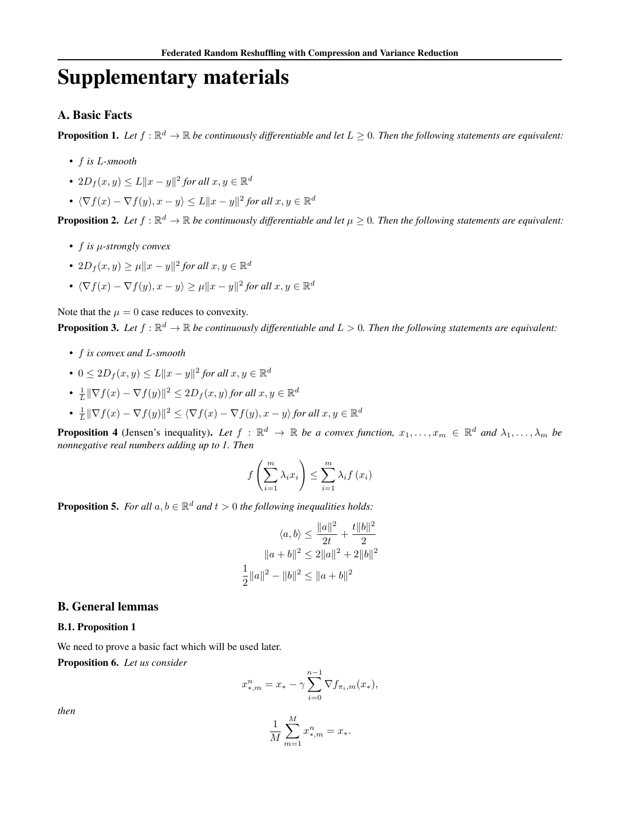# Supplementary materials

## A. Basic Facts

**Proposition 1.** Let  $f : \mathbb{R}^d \to \mathbb{R}$  be continuously differentiable and let  $L \geq 0$ . Then the following statements are equivalent:

- f *is* L*-smooth*
- $2D_f(x, y) \le L ||x y||^2$  for all  $x, y \in \mathbb{R}^d$
- $\langle \nabla f(x) \nabla f(y), x y \rangle \le L \|x y\|^2$  for all  $x, y \in \mathbb{R}^d$

**Proposition 2.** Let  $f : \mathbb{R}^d \to \mathbb{R}$  be continuously differentiable and let  $\mu \geq 0$ . Then the following statements are equivalent:

- f *is* µ*-strongly convex*
- $2D_f(x, y) \geq \mu ||x y||^2$  for all  $x, y \in \mathbb{R}^d$
- $\langle \nabla f(x) \nabla f(y), x y \rangle \ge \mu \|x y\|^2$  for all  $x, y \in \mathbb{R}^d$

Note that the  $\mu = 0$  case reduces to convexity.

**Proposition 3.** Let  $f : \mathbb{R}^d \to \mathbb{R}$  be continuously differentiable and  $L > 0$ . Then the following statements are equivalent:

- f *is convex and* L*-smooth*
- $0 \leq 2D_f(x, y) \leq L||x y||^2$  for all  $x, y \in \mathbb{R}^d$
- $\frac{1}{L} \|\nabla f(x) \nabla f(y)\|^2 \le 2D_f(x, y)$  for all  $x, y \in \mathbb{R}^d$
- $\frac{1}{L} \|\nabla f(x) \nabla f(y)\|^2 \le \langle \nabla f(x) \nabla f(y), x y \rangle$  for all  $x, y \in \mathbb{R}^d$

**Proposition 4** (Jensen's inequality). Let  $f : \mathbb{R}^d \to \mathbb{R}$  be a convex function,  $x_1, \ldots, x_m \in \mathbb{R}^d$  and  $\lambda_1, \ldots, \lambda_m$  be *nonnegative real numbers adding up to 1. Then*

$$
f\left(\sum_{i=1}^{m} \lambda_i x_i\right) \le \sum_{i=1}^{m} \lambda_i f\left(x_i\right)
$$

**Proposition 5.** For all  $a, b \in \mathbb{R}^d$  and  $t > 0$  the following inequalities holds:

$$
\langle a, b \rangle \le \frac{\|a\|^2}{2t} + \frac{t\|b\|^2}{2}
$$

$$
\|a+b\|^2 \le 2\|a\|^2 + 2\|b\|^2
$$

$$
\frac{1}{2}\|a\|^2 - \|b\|^2 \le \|a+b\|^2
$$

#### B. General lemmas

#### B.1. Proposition 1

We need to prove a basic fact which will be used later.

Proposition 6. *Let us consider*

$$
x_{*,m}^n = x_* - \gamma \sum_{i=0}^{n-1} \nabla f_{\pi_i,m}(x_*),
$$

*then*

$$
\frac{1}{M}\sum_{m=1}^M x_{*,m}^n = x_*.
$$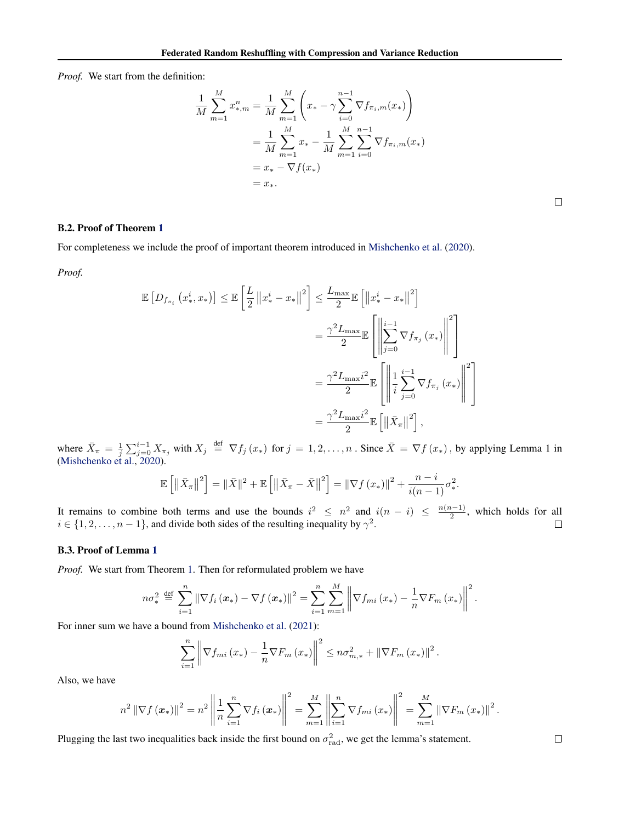*Proof.* We start from the definition:

$$
\frac{1}{M} \sum_{m=1}^{M} x_{*,m}^{n} = \frac{1}{M} \sum_{m=1}^{M} \left( x_{*} - \gamma \sum_{i=0}^{n-1} \nabla f_{\pi_{i},m}(x_{*}) \right)
$$
\n
$$
= \frac{1}{M} \sum_{m=1}^{M} x_{*} - \frac{1}{M} \sum_{m=1}^{M} \sum_{i=0}^{n-1} \nabla f_{\pi_{i},m}(x_{*})
$$
\n
$$
= x_{*} - \nabla f(x_{*})
$$
\n
$$
= x_{*}.
$$

#### B.2. Proof of Theorem [1](#page-2-0)

For completeness we include the proof of important theorem introduced in [Mishchenko et al.](#page-8-0) [\(2020\)](#page-8-0).

*Proof.*

$$
\mathbb{E}\left[D_{f_{\pi_i}}\left(x_*^i, x_*\right)\right] \leq \mathbb{E}\left[\frac{L}{2}\left\|x_*^i - x_*\right\|^2\right] \leq \frac{L_{\max}}{2} \mathbb{E}\left[\left\|x_*^i - x_*\right\|^2\right]
$$

$$
= \frac{\gamma^2 L_{\max}}{2} \mathbb{E}\left[\left\|\sum_{j=0}^{i-1} \nabla f_{\pi_j}\left(x_*\right)\right\|^2\right]
$$

$$
= \frac{\gamma^2 L_{\max} i^2}{2} \mathbb{E}\left[\left\|\frac{1}{i}\sum_{j=0}^{i-1} \nabla f_{\pi_j}\left(x_*\right)\right\|^2\right]
$$

$$
= \frac{\gamma^2 L_{\max} i^2}{2} \mathbb{E}\left[\left\|\bar{X}_{\pi}\right\|^2\right],
$$

where  $\bar{X}_{\pi} = \frac{1}{j} \sum_{j=0}^{i-1} X_{\pi_j}$  with  $X_j \stackrel{\text{def}}{=} \nabla f_j(x_*)$  for  $j = 1, 2, ..., n$ . Since  $\bar{X} = \nabla f(x_*)$ , by applying Lemma 1 in [\(Mishchenko et al.,](#page-8-0) [2020\)](#page-8-0).

$$
\mathbb{E}\left[\left\|\bar{X}_{\pi}\right\|^2\right] = \|\bar{X}\|^2 + \mathbb{E}\left[\left\|\bar{X}_{\pi} - \bar{X}\right\|^2\right] = \|\nabla f(x_*)\|^2 + \frac{n-i}{i(n-1)}\sigma_*^2.
$$

It remains to combine both terms and use the bounds  $i^2 \leq n^2$  and  $i(n-i) \leq \frac{n(n-1)}{2}$  $\frac{1}{2}$ , which holds for all  $i \in \{1, 2, \ldots, n-1\}$ , and divide both sides of the resulting inequality by  $\gamma^2$ .

#### B.3. Proof of Lemma [1](#page-3-0)

*Proof.* We start from Theorem [1.](#page-2-0) Then for reformulated problem we have

$$
n\sigma_*^2 \stackrel{\text{def}}{=} \sum_{i=1}^n \left\| \nabla f_i \left( \boldsymbol{x}_* \right) - \nabla f \left( \boldsymbol{x}_* \right) \right\|^2 = \sum_{i=1}^n \sum_{m=1}^M \left\| \nabla f_{mi} \left( \boldsymbol{x}_* \right) - \frac{1}{n} \nabla F_m \left( \boldsymbol{x}_* \right) \right\|^2.
$$

For inner sum we have a bound from [Mishchenko et al.](#page-8-0) [\(2021\)](#page-8-0):

$$
\sum_{i=1}^{n} \left\| \nabla f_{mi} (x_*) - \frac{1}{n} \nabla F_m (x_*) \right\|^2 \leq n \sigma_{m,*}^2 + \left\| \nabla F_m (x_*) \right\|^2.
$$

Also, we have

$$
n^{2} \left\| \nabla f\left(x_{*}\right) \right\|^{2} = n^{2} \left\| \frac{1}{n} \sum_{i=1}^{n} \nabla f_{i}\left(x_{*}\right) \right\|^{2} = \sum_{m=1}^{M} \left\| \sum_{i=1}^{n} \nabla f_{mi}\left(x_{*}\right) \right\|^{2} = \sum_{m=1}^{M} \left\| \nabla F_{m}\left(x_{*}\right) \right\|^{2}.
$$

Plugging the last two inequalities back inside the first bound on  $\sigma_{\text{rad}}^2$ , we get the lemma's statement.

 $\Box$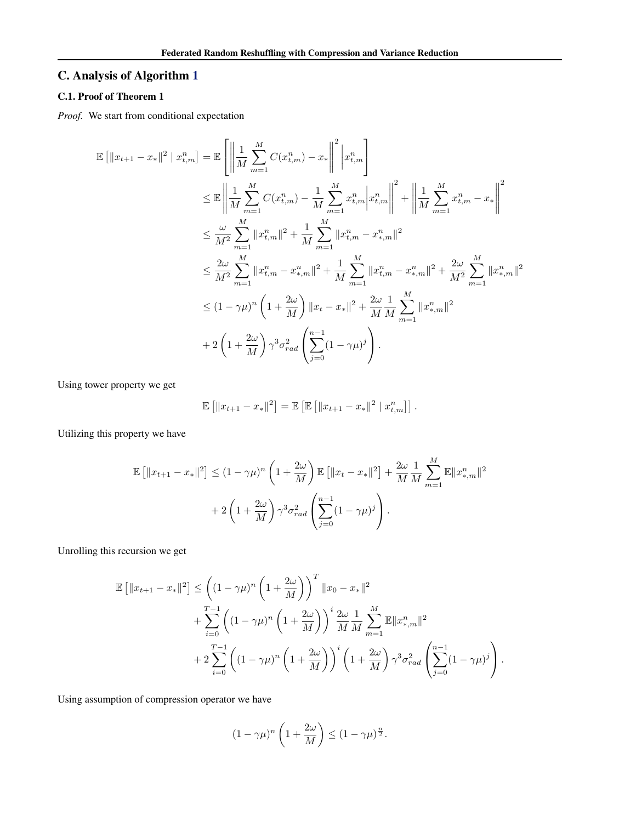# C. Analysis of Algorithm [1](#page-4-0)

# C.1. Proof of Theorem 1

*Proof.* We start from conditional expectation

$$
\mathbb{E} \left[ \|x_{t+1} - x_{*}\|^{2} \mid x_{t,m}^{n} \right] = \mathbb{E} \left[ \left\| \frac{1}{M} \sum_{m=1}^{M} C(x_{t,m}^{n}) - x_{*} \right\|^{2} \middle| x_{t,m}^{n} \right]
$$
  
\n
$$
\leq \mathbb{E} \left\| \frac{1}{M} \sum_{m=1}^{M} C(x_{t,m}^{n}) - \frac{1}{M} \sum_{m=1}^{M} x_{t,m}^{n} \middle| x_{t,m}^{n} \right\|^{2} + \left\| \frac{1}{M} \sum_{m=1}^{M} x_{t,m}^{n} - x_{*} \right\|^{2}
$$
  
\n
$$
\leq \frac{\omega}{M^{2}} \sum_{m=1}^{M} \|x_{t,m}^{n}\|^{2} + \frac{1}{M} \sum_{m=1}^{M} \|x_{t,m}^{n} - x_{*,m}^{n}\|^{2}
$$
  
\n
$$
\leq \frac{2\omega}{M^{2}} \sum_{m=1}^{M} \|x_{t,m}^{n} - x_{*,m}^{n}\|^{2} + \frac{1}{M} \sum_{m=1}^{M} \|x_{t,m}^{n} - x_{*,m}^{n}\|^{2} + \frac{2\omega}{M^{2}} \sum_{m=1}^{M} \|x_{*,m}^{n}\|^{2}
$$
  
\n
$$
\leq (1 - \gamma \mu)^{n} \left(1 + \frac{2\omega}{M}\right) \|x_{t} - x_{*}\|^{2} + \frac{2\omega}{M} \frac{1}{M} \sum_{m=1}^{M} \|x_{*,m}^{n}\|^{2}
$$
  
\n
$$
+ 2 \left(1 + \frac{2\omega}{M}\right) \gamma^{3} \sigma_{rad}^{2} \left( \sum_{j=0}^{n-1} (1 - \gamma \mu)^{j} \right).
$$

Using tower property we get

$$
\mathbb{E} [||x_{t+1} - x_*||^2] = \mathbb{E} [\mathbb{E} [||x_{t+1} - x_*||^2 | x_{t,m}^n]].
$$

Utilizing this property we have

$$
\mathbb{E} [||x_{t+1} - x_*||^2] \le (1 - \gamma \mu)^n \left( 1 + \frac{2\omega}{M} \right) \mathbb{E} [||x_t - x_*||^2] + \frac{2\omega}{M} \frac{1}{M} \sum_{m=1}^M \mathbb{E} ||x_{*,m}^n||^2
$$
  
+ 2\left( 1 + \frac{2\omega}{M} \right) \gamma^3 \sigma\_{rad}^2 \left( \sum\_{j=0}^{n-1} (1 - \gamma \mu)^j \right).

Unrolling this recursion we get

$$
\mathbb{E} [||x_{t+1} - x_*||^2] \leq \left( (1 - \gamma \mu)^n \left( 1 + \frac{2\omega}{M} \right) \right)^T ||x_0 - x_*||^2 \n+ \sum_{i=0}^{T-1} \left( (1 - \gamma \mu)^n \left( 1 + \frac{2\omega}{M} \right) \right)^i \frac{2\omega}{M} \frac{1}{M} \sum_{m=1}^M \mathbb{E} ||x_{*,m}^n||^2 \n+ 2 \sum_{i=0}^{T-1} \left( (1 - \gamma \mu)^n \left( 1 + \frac{2\omega}{M} \right) \right)^i \left( 1 + \frac{2\omega}{M} \right) \gamma^3 \sigma_{rad}^2 \left( \sum_{j=0}^{n-1} (1 - \gamma \mu)^j \right).
$$

Using assumption of compression operator we have

$$
(1 - \gamma \mu)^n \left(1 + \frac{2\omega}{M}\right) \le (1 - \gamma \mu)^{\frac{n}{2}}.
$$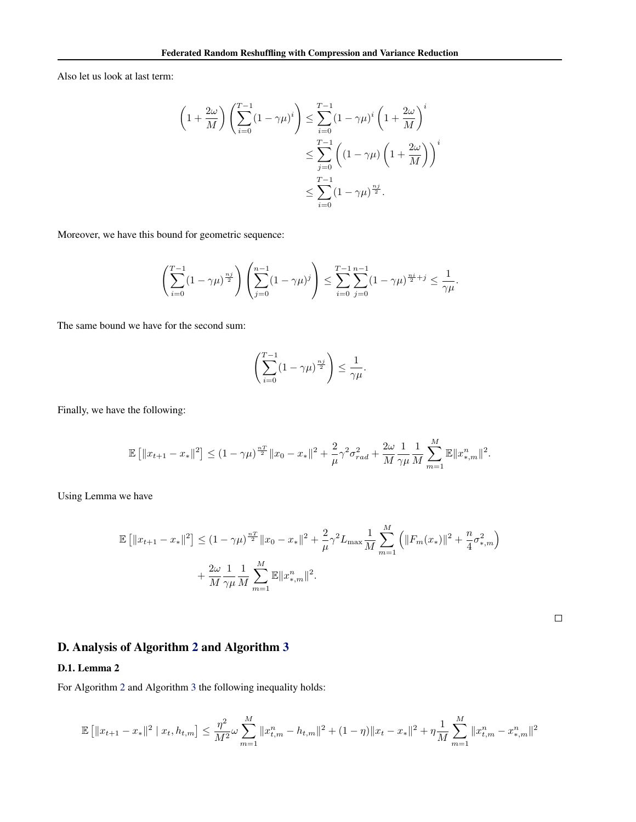Also let us look at last term:

$$
\left(1+\frac{2\omega}{M}\right)\left(\sum_{i=0}^{T-1}(1-\gamma\mu)^i\right) \le \sum_{i=0}^{T-1}(1-\gamma\mu)^i\left(1+\frac{2\omega}{M}\right)^i
$$

$$
\le \sum_{j=0}^{T-1}\left((1-\gamma\mu)\left(1+\frac{2\omega}{M}\right)\right)^i
$$

$$
\le \sum_{i=0}^{T-1}(1-\gamma\mu)^{\frac{n_j}{2}}.
$$

Moreover, we have this bound for geometric sequence:

$$
\left(\sum_{i=0}^{T-1} (1-\gamma\mu)^{\frac{n}{2}}\right) \left(\sum_{j=0}^{n-1} (1-\gamma\mu)^j\right) \le \sum_{i=0}^{T-1} \sum_{j=0}^{n-1} (1-\gamma\mu)^{\frac{n}{2}+j} \le \frac{1}{\gamma\mu}.
$$

The same bound we have for the second sum:

$$
\left(\sum_{i=0}^{T-1} (1-\gamma\mu)^{\frac{n_j}{2}}\right) \le \frac{1}{\gamma\mu}.
$$

Finally, we have the following:

$$
\mathbb{E}\left[\|x_{t+1}-x_*\|^2\right] \leq (1-\gamma\mu)^{\frac{nT}{2}}\|x_0-x_*\|^2 + \frac{2}{\mu}\gamma^2\sigma_{rad}^2 + \frac{2\omega}{M}\frac{1}{\gamma\mu}\frac{1}{M}\sum_{m=1}^M\mathbb{E}\|x_{*,m}^n\|^2.
$$

Using Lemma we have

$$
\mathbb{E} [||x_{t+1} - x_*||^2] \le (1 - \gamma \mu)^{\frac{nT}{2}} ||x_0 - x_*||^2 + \frac{2}{\mu} \gamma^2 L_{\max} \frac{1}{M} \sum_{m=1}^M (||F_m(x_*)||^2 + \frac{n}{4} \sigma_{*,m}^2) + \frac{2\omega}{M} \frac{1}{\gamma \mu} \frac{1}{M} \sum_{m=1}^M \mathbb{E} ||x_{*,m}^n||^2.
$$

 $\Box$ 

# D. Analysis of Algorithm [2](#page-4-0) and Algorithm [3](#page-5-0)

## D.1. Lemma 2

For Algorithm [2](#page-4-0) and Algorithm [3](#page-5-0) the following inequality holds:

$$
\mathbb{E}\left[\|x_{t+1}-x_*\|^2 \mid x_t, h_{t,m}\right] \le \frac{\eta^2}{M^2} \omega \sum_{m=1}^M \|x_{t,m}^n - h_{t,m}\|^2 + (1-\eta) \|x_t - x_*\|^2 + \eta \frac{1}{M} \sum_{m=1}^M \|x_{t,m}^n - x_{*,m}^n\|^2
$$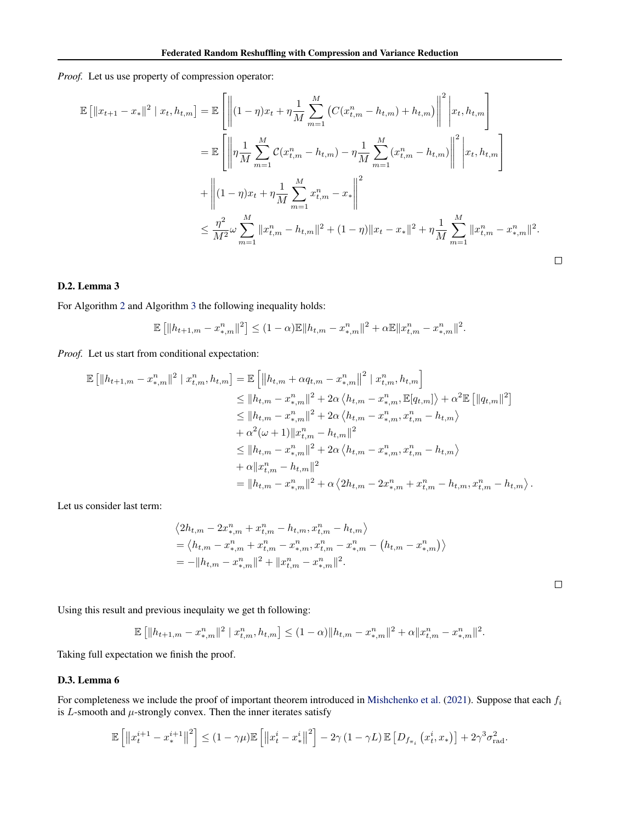*Proof.* Let us use property of compression operator:

$$
\mathbb{E} \left[ \|x_{t+1} - x_{*}\|^{2} \mid x_{t}, h_{t,m} \right] = \mathbb{E} \left[ \left\| (1 - \eta)x_{t} + \eta \frac{1}{M} \sum_{m=1}^{M} \left( C(x_{t,m}^{n} - h_{t,m}) + h_{t,m} \right) \right\|^{2} \Big| x_{t}, h_{t,m} \right]
$$
\n
$$
= \mathbb{E} \left[ \left\| \eta \frac{1}{M} \sum_{m=1}^{M} C(x_{t,m}^{n} - h_{t,m}) - \eta \frac{1}{M} \sum_{m=1}^{M} (x_{t,m}^{n} - h_{t,m}) \right\|^{2} \Big| x_{t}, h_{t,m} \right]
$$
\n
$$
+ \left\| (1 - \eta)x_{t} + \eta \frac{1}{M} \sum_{m=1}^{M} x_{t,m}^{n} - x_{*} \right\|^{2}
$$
\n
$$
\leq \frac{\eta^{2}}{M^{2}} \omega \sum_{m=1}^{M} \|x_{t,m}^{n} - h_{t,m}\|^{2} + (1 - \eta) \|x_{t} - x_{*}\|^{2} + \eta \frac{1}{M} \sum_{m=1}^{M} \|x_{t,m}^{n} - x_{*,m}^{n}\|^{2}.
$$

## D.2. Lemma 3

For Algorithm [2](#page-4-0) and Algorithm [3](#page-5-0) the following inequality holds:

$$
\mathbb{E}\left[\|h_{t+1,m} - x_{*,m}^n\|^2\right] \le (1-\alpha)\mathbb{E}\|h_{t,m} - x_{*,m}^n\|^2 + \alpha \mathbb{E}\|x_{t,m}^n - x_{*,m}^n\|^2.
$$

*Proof.* Let us start from conditional expectation:

$$
\mathbb{E} [||h_{t+1,m} - x_{*,m}^n||^2 | x_{t,m}^n, h_{t,m}] = \mathbb{E} [||h_{t,m} + \alpha q_{t,m} - x_{*,m}^n||^2 | x_{t,m}^n, h_{t,m}]
$$
  
\n
$$
\leq ||h_{t,m} - x_{*,m}^n||^2 + 2\alpha \langle h_{t,m} - x_{*,m}^n, \mathbb{E}[q_{t,m}] \rangle + \alpha^2 \mathbb{E} [||q_{t,m}||^2]
$$
  
\n
$$
\leq ||h_{t,m} - x_{*,m}^n||^2 + 2\alpha \langle h_{t,m} - x_{*,m}^n, x_{t,m}^n - h_{t,m} \rangle
$$
  
\n
$$
+ \alpha^2 (\omega + 1) ||x_{t,m}^n - h_{t,m}||^2
$$
  
\n
$$
\leq ||h_{t,m} - x_{*,m}^n||^2 + 2\alpha \langle h_{t,m} - x_{*,m}^n, x_{t,m}^n - h_{t,m} \rangle
$$
  
\n
$$
+ \alpha ||x_{t,m}^n - h_{t,m}||^2
$$
  
\n
$$
= ||h_{t,m} - x_{*,m}^n||^2 + \alpha \langle 2h_{t,m} - 2x_{*,m}^n + x_{t,m}^n - h_{t,m}, x_{t,m}^n - h_{t,m} \rangle.
$$

Let us consider last term:

$$
\langle 2h_{t,m} - 2x_{*,m}^n + x_{t,m}^n - h_{t,m}, x_{t,m}^n - h_{t,m} \rangle
$$
  
=  $\langle h_{t,m} - x_{*,m}^n + x_{t,m}^n - x_{*,m}^n, x_{t,m}^n - x_{*,m}^n - (h_{t,m} - x_{*,m}^n) \rangle$   
=  $-\|h_{t,m} - x_{*,m}^n\|^2 + \|x_{t,m}^n - x_{*,m}^n\|^2$ .

 $\Box$ 

Using this result and previous inequlaity we get th following:

$$
\mathbb{E} [||h_{t+1,m} - x_{*,m}^n||^2 | x_{t,m}^n, h_{t,m}] \le (1-\alpha) ||h_{t,m} - x_{*,m}^n||^2 + \alpha ||x_{t,m}^n - x_{*,m}^n||^2.
$$

Taking full expectation we finish the proof.

#### D.3. Lemma 6

For completeness we include the proof of important theorem introduced in [Mishchenko et al.](#page-8-0) [\(2021\)](#page-8-0). Suppose that each  $f_i$ is  $L$ -smooth and  $\mu$ -strongly convex. Then the inner iterates satisfy

$$
\mathbb{E}\left[\left\|x_t^{i+1}-x_*^{i+1}\right\|^2\right] \leq (1-\gamma\mu)\mathbb{E}\left[\left\|x_t^i-x_*^i\right\|^2\right] - 2\gamma(1-\gamma L)\mathbb{E}\left[D_{f_{\pi_i}}\left(x_t^i,x_*\right)\right] + 2\gamma^3\sigma_{\text{rad}}^2.
$$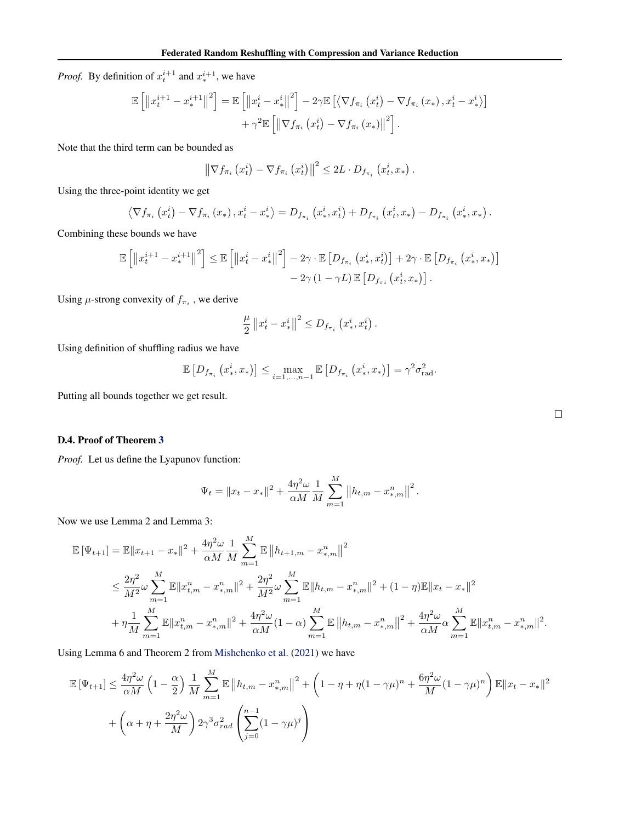*Proof.* By definition of  $x_t^{i+1}$  and  $x_*^{i+1}$ , we have

$$
\mathbb{E}\left[\left\|x_t^{i+1}-x_*^{i+1}\right\|^2\right] = \mathbb{E}\left[\left\|x_t^i-x_*^i\right\|^2\right] - 2\gamma \mathbb{E}\left[\left\langle \nabla f_{\pi_i}\left(x_t^i\right) - \nabla f_{\pi_i}\left(x_*\right), x_t^i - x_*^i\right\rangle\right] + \gamma^2 \mathbb{E}\left[\left\|\nabla f_{\pi_i}\left(x_t^i\right) - \nabla f_{\pi_i}\left(x_*\right)\right\|^2\right].
$$

Note that the third term can be bounded as

$$
\left\|\nabla f_{\pi_i}\left(x_t^i\right)-\nabla f_{\pi_i}\left(x_t^i\right)\right\|^2 \leq 2L \cdot D_{f_{\pi_i}}\left(x_t^i, x_*\right).
$$

Using the three-point identity we get

$$
\left\langle \nabla f_{\pi_i} \left( x_t^i \right) - \nabla f_{\pi_i} \left( x_* \right), x_t^i - x_*^i \right\rangle = D_{f_{\pi_i}} \left( x_*^i, x_t^i \right) + D_{f_{\pi_i}} \left( x_t^i, x_* \right) - D_{f_{\pi_i}} \left( x_*^i, x_* \right).
$$

Combining these bounds we have

$$
\mathbb{E}\left[\left\|x_t^{i+1}-x_*^{i+1}\right\|^2\right] \leq \mathbb{E}\left[\left\|x_t^{i}-x_*^{i}\right\|^2\right] - 2\gamma \cdot \mathbb{E}\left[D_{f_{\pi_i}}\left(x_*^{i}, x_t^{i}\right)\right] + 2\gamma \cdot \mathbb{E}\left[D_{f_{\pi_i}}\left(x_*^{i}, x_*\right)\right] - 2\gamma \left(1 - \gamma L\right) \mathbb{E}\left[D_{f_{\pi_i}}\left(x_t^{i}, x_*\right)\right].
$$

Using  $\mu$ -strong convexity of  $f_{\pi_i}$ , we derive

$$
\frac{\mu}{2}\left\|x_t^i - x_*^i\right\|^2 \leq D_{f_{\pi_i}}\left(x_*^i, x_t^i\right).
$$

Using definition of shuffling radius we have

$$
\mathbb{E}\left[D_{f_{\pi_i}}\left(x_*^i, x_*\right)\right] \le \max_{i=1,\dots,n-1} \mathbb{E}\left[D_{f_{\pi_i}}\left(x_*^i, x_*\right)\right] = \gamma^2 \sigma_{\text{rad}}^2.
$$

Putting all bounds together we get result.

## D.4. Proof of Theorem [3](#page-4-0)

*Proof.* Let us define the Lyapunov function:

$$
\Psi_t = \|x_t - x_*\|^2 + \frac{4\eta^2 \omega}{\alpha M} \frac{1}{M} \sum_{m=1}^M \|h_{t,m} - x_{*,m}^n\|^2.
$$

Now we use Lemma 2 and Lemma 3:

$$
\mathbb{E} \left[ \Psi_{t+1} \right] = \mathbb{E} \| x_{t+1} - x_* \|^2 + \frac{4\eta^2 \omega}{\alpha M} \frac{1}{M} \sum_{m=1}^M \mathbb{E} \left\| h_{t+1,m} - x_{*,m}^n \right\|^2
$$
  
\n
$$
\leq \frac{2\eta^2}{M^2} \omega \sum_{m=1}^M \mathbb{E} \| x_{t,m}^n - x_{*,m}^n \|^2 + \frac{2\eta^2}{M^2} \omega \sum_{m=1}^M \mathbb{E} \| h_{t,m} - x_{*,m}^n \|^2 + (1 - \eta) \mathbb{E} \| x_t - x_* \|^2
$$
  
\n
$$
+ \eta \frac{1}{M} \sum_{m=1}^M \mathbb{E} \| x_{t,m}^n - x_{*,m}^n \|^2 + \frac{4\eta^2 \omega}{\alpha M} (1 - \alpha) \sum_{m=1}^M \mathbb{E} \| h_{t,m} - x_{*,m}^n \|^2 + \frac{4\eta^2 \omega}{\alpha M} \alpha \sum_{m=1}^M \mathbb{E} \| x_{t,m}^n - x_{*,m}^n \|^2.
$$

Using Lemma 6 and Theorem 2 from [Mishchenko et al.](#page-8-0) [\(2021\)](#page-8-0) we have

$$
\mathbb{E}\left[\Psi_{t+1}\right] \leq \frac{4\eta^2 \omega}{\alpha M} \left(1 - \frac{\alpha}{2}\right) \frac{1}{M} \sum_{m=1}^M \mathbb{E}\left\|h_{t,m} - x_{*,m}^n\right\|^2 + \left(1 - \eta + \eta(1 - \gamma\mu)^n + \frac{6\eta^2 \omega}{M}(1 - \gamma\mu)^n\right) \mathbb{E}\|x_t - x_*\|^2
$$

$$
+ \left(\alpha + \eta + \frac{2\eta^2 \omega}{M}\right) 2\gamma^3 \sigma_{rad}^2 \left(\sum_{j=0}^{n-1} (1 - \gamma\mu)^j\right)
$$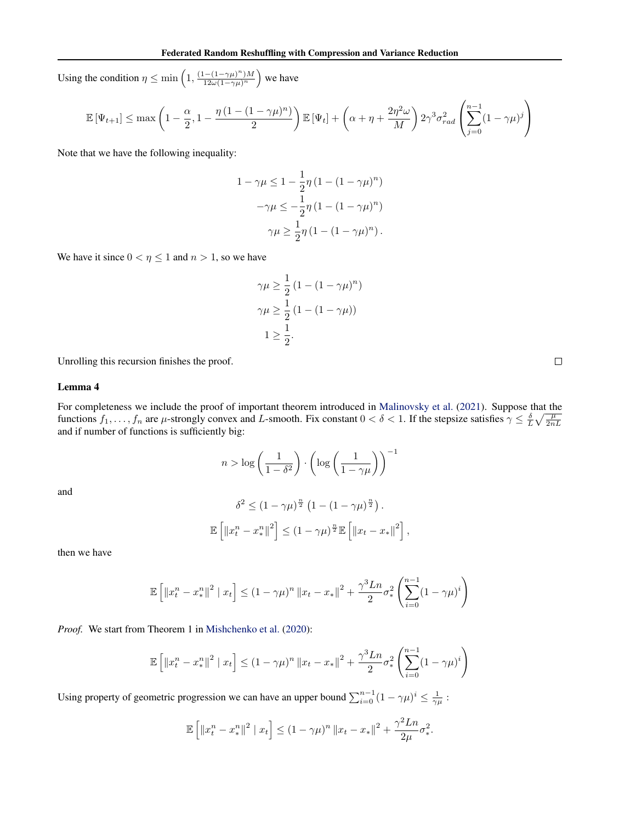Using the condition  $\eta \leq \min\left(1, \frac{(1-(1-\gamma\mu)^n)M}{12\omega(1-\gamma\mu)^n}\right)$  $\frac{1-(1-\gamma\mu)^n M}{12\omega(1-\gamma\mu)^n}$  we have

$$
\mathbb{E}\left[\Psi_{t+1}\right] \leq \max\left(1 - \frac{\alpha}{2}, 1 - \frac{\eta\left(1 - (1-\gamma\mu)^n\right)}{2}\right) \mathbb{E}\left[\Psi_t\right] + \left(\alpha + \eta + \frac{2\eta^2\omega}{M}\right) 2\gamma^3\sigma_{rad}^2 \left(\sum_{j=0}^{n-1} (1-\gamma\mu)^j\right)
$$

Note that we have the following inequality:

$$
1 - \gamma \mu \le 1 - \frac{1}{2}\eta \left(1 - (1 - \gamma \mu)^n\right) - \gamma \mu \le -\frac{1}{2}\eta \left(1 - (1 - \gamma \mu)^n\right) \gamma \mu \ge \frac{1}{2}\eta \left(1 - (1 - \gamma \mu)^n\right).
$$

We have it since  $0 < \eta \le 1$  and  $n > 1$ , so we have

$$
\gamma \mu \ge \frac{1}{2} \left( 1 - (1 - \gamma \mu)^n \right)
$$
  

$$
\gamma \mu \ge \frac{1}{2} \left( 1 - (1 - \gamma \mu) \right)
$$
  

$$
1 \ge \frac{1}{2}.
$$

Unrolling this recursion finishes the proof.

#### Lemma 4

For completeness we include the proof of important theorem introduced in [Malinovsky et al.](#page-7-0) [\(2021\)](#page-7-0). Suppose that the functions  $f_1, \ldots, f_n$  are  $\mu$ -strongly convex and L-smooth. Fix constant  $0 < \delta < 1$ . If the stepsize satisfies  $\gamma \leq \frac{\delta}{L} \sqrt{\frac{\mu}{2nL}}$ and if number of functions is sufficiently big:

$$
n > \log\left(\frac{1}{1 - \delta^2}\right) \cdot \left(\log\left(\frac{1}{1 - \gamma\mu}\right)\right)^{-1}
$$

and

$$
\delta^2 \le (1 - \gamma \mu)^{\frac{n}{2}} \left( 1 - (1 - \gamma \mu)^{\frac{n}{2}} \right).
$$
  

$$
\mathbb{E} \left[ \|x_t^n - x_*^n\|^2 \right] \le (1 - \gamma \mu)^{\frac{n}{2}} \mathbb{E} \left[ \|x_t - x_*\|^2 \right],
$$

then we have

$$
\mathbb{E}\left[\left\|x_{t}^{n}-x_{*}^{n}\right\|^{2} | x_{t}\right] \leq (1-\gamma\mu)^{n} \left\|x_{t}-x_{*}\right\|^{2} + \frac{\gamma^{3} L n}{2} \sigma_{*}^{2} \left(\sum_{i=0}^{n-1} (1-\gamma\mu)^{i}\right)
$$

*Proof.* We start from Theorem 1 in [Mishchenko et al.](#page-8-0) [\(2020\)](#page-8-0):

$$
\mathbb{E}\left[\left\|x_{t}^{n}-x_{*}^{n}\right\|^{2} | x_{t}\right] \leq (1-\gamma\mu)^{n} \|x_{t}-x_{*}\|^{2}+\frac{\gamma^{3}Ln}{2}\sigma_{*}^{2}\left(\sum_{i=0}^{n-1}(1-\gamma\mu)^{i}\right)
$$

Using property of geometric progression we can have an upper bound  $\sum_{i=0}^{n-1} (1 - \gamma \mu)^i \le \frac{1}{\gamma \mu}$ :

$$
\mathbb{E}\left[\|x_t^n - x_*^n\|^2 \mid x_t\right] \le (1 - \gamma \mu)^n \|x_t - x_*\|^2 + \frac{\gamma^2 Ln}{2\mu} \sigma_*^2.
$$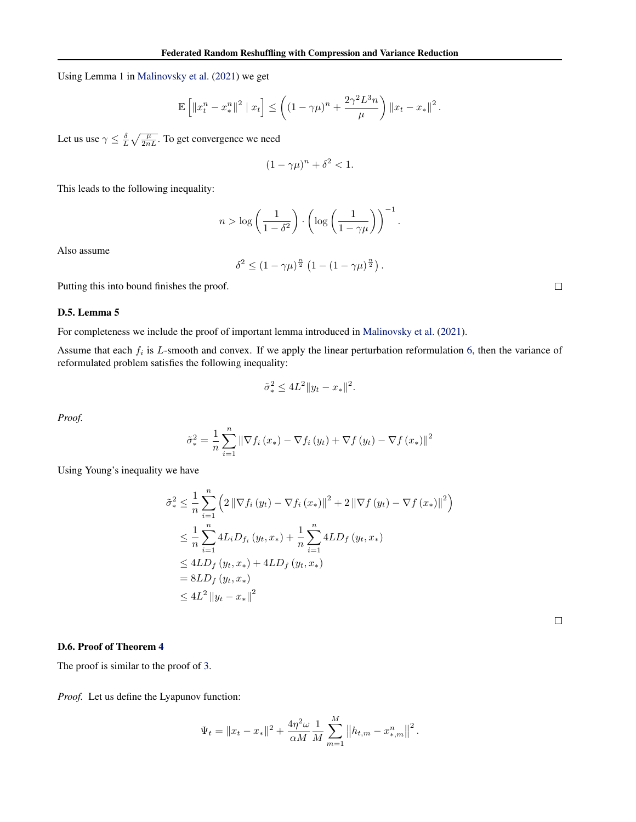Using Lemma 1 in [Malinovsky et al.](#page-7-0) [\(2021\)](#page-7-0) we get

$$
\mathbb{E}\left[\left\|x_{t}^{n}-x_{*}^{n}\right\|^{2} | x_{t}\right] \leq \left( (1-\gamma\mu)^{n}+\frac{2\gamma^{2}L^{3}n}{\mu}\right) \|x_{t}-x_{*}\|^{2}.
$$

Let us use  $\gamma \leq \frac{\delta}{L} \sqrt{\frac{\mu}{2nL}}$ . To get convergence we need

$$
(1 - \gamma \mu)^n + \delta^2 < 1.
$$

This leads to the following inequality:

$$
n > \log\left(\frac{1}{1-\delta^2}\right) \cdot \left(\log\left(\frac{1}{1-\gamma\mu}\right)\right)^{-1}.
$$

Also assume

$$
\delta^2 \le (1 - \gamma \mu)^{\frac{n}{2}} \left( 1 - (1 - \gamma \mu)^{\frac{n}{2}} \right)
$$

.

Putting this into bound finishes the proof.

#### D.5. Lemma 5

For completeness we include the proof of important lemma introduced in [Malinovsky et al.](#page-7-0) [\(2021\)](#page-7-0).

Assume that each  $f_i$  is L-smooth and convex. If we apply the linear perturbation reformulation [6,](#page-5-0) then the variance of reformulated problem satisfies the following inequality:

$$
\tilde{\sigma}_*^2 \le 4L^2 \|y_t - x_*\|^2.
$$

*Proof.*

$$
\tilde{\sigma}_{*}^{2} = \frac{1}{n} \sum_{i=1}^{n} \left\| \nabla f_{i} \left( x_{*} \right) - \nabla f_{i} \left( y_{t} \right) + \nabla f \left( y_{t} \right) - \nabla f \left( x_{*} \right) \right\|^{2}
$$

Using Young's inequality we have

$$
\tilde{\sigma}_{*}^{2} \leq \frac{1}{n} \sum_{i=1}^{n} \left( 2 \left\| \nabla f_{i} \left( y_{t} \right) - \nabla f_{i} \left( x_{*} \right) \right\|^{2} + 2 \left\| \nabla f \left( y_{t} \right) - \nabla f \left( x_{*} \right) \right\|^{2} \right)
$$
\n
$$
\leq \frac{1}{n} \sum_{i=1}^{n} 4L_{i} D_{f_{i}} \left( y_{t}, x_{*} \right) + \frac{1}{n} \sum_{i=1}^{n} 4LD_{f} \left( y_{t}, x_{*} \right)
$$
\n
$$
\leq 4LD_{f} \left( y_{t}, x_{*} \right) + 4LD_{f} \left( y_{t}, x_{*} \right)
$$
\n
$$
= 8LD_{f} \left( y_{t}, x_{*} \right)
$$
\n
$$
\leq 4L^{2} \left\| y_{t} - x_{*} \right\|^{2}
$$

 $\Box$ 

#### D.6. Proof of Theorem [4](#page-5-0)

The proof is similar to the proof of [3.](#page-4-0)

*Proof.* Let us define the Lyapunov function:

$$
\Psi_t = \|x_t - x_*\|^2 + \frac{4\eta^2 \omega}{\alpha M} \frac{1}{M} \sum_{m=1}^M \|h_{t,m} - x_{*,m}^n\|^2.
$$

 $\Box$